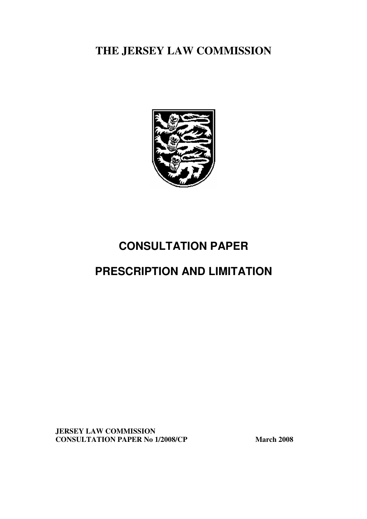**THE JERSEY LAW COMMISSION** 



# **CONSULTATION PAPER**

# **PRESCRIPTION AND LIMITATION**

**JERSEY LAW COMMISSION CONSULTATION PAPER No 1/2008/CP March 2008**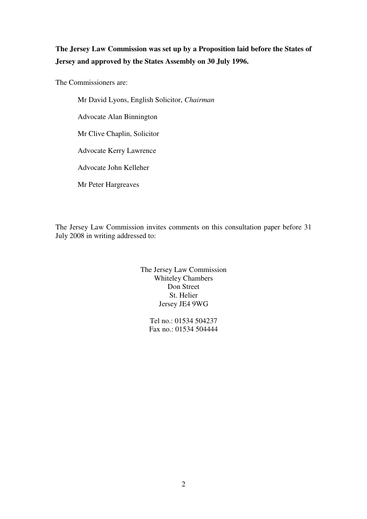### **The Jersey Law Commission was set up by a Proposition laid before the States of Jersey and approved by the States Assembly on 30 July 1996.**

The Commissioners are:

 Mr David Lyons, English Solicitor, *Chairman*  Advocate Alan Binnington Mr Clive Chaplin, Solicitor Advocate Kerry Lawrence Advocate John Kelleher Mr Peter Hargreaves

The Jersey Law Commission invites comments on this consultation paper before 31 July 2008 in writing addressed to:

> The Jersey Law Commission Whiteley Chambers Don Street St. Helier Jersey JE4 9WG

> > Tel no.: 01534 504237 Fax no.: 01534 504444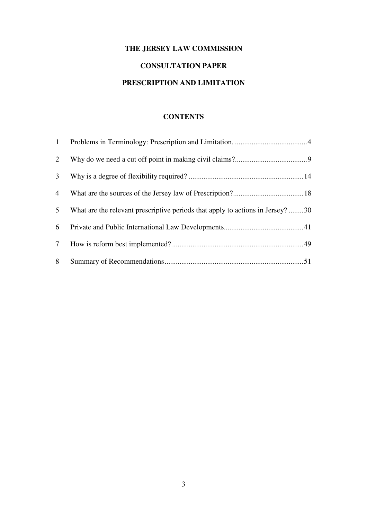# **THE JERSEY LAW COMMISSION**

## **CONSULTATION PAPER**

### **PRESCRIPTION AND LIMITATION**

### **CONTENTS**

| 1               |                                                                                |  |
|-----------------|--------------------------------------------------------------------------------|--|
| $\overline{2}$  |                                                                                |  |
| 3 <sup>7</sup>  |                                                                                |  |
| $\overline{4}$  |                                                                                |  |
| 5 <sup>5</sup>  | What are the relevant prescriptive periods that apply to actions in Jersey? 30 |  |
| 6               |                                                                                |  |
| $7\overline{ }$ |                                                                                |  |
| 8               |                                                                                |  |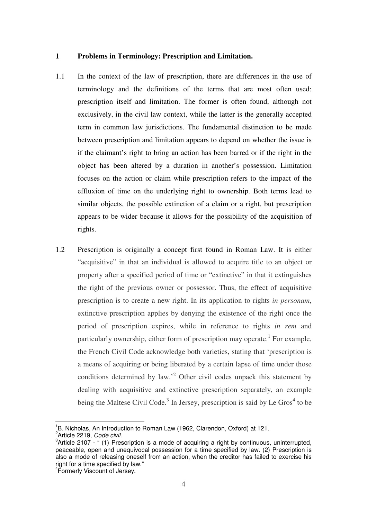#### **1 Problems in Terminology: Prescription and Limitation.**

- 1.1 In the context of the law of prescription, there are differences in the use of terminology and the definitions of the terms that are most often used: prescription itself and limitation. The former is often found, although not exclusively, in the civil law context, while the latter is the generally accepted term in common law jurisdictions. The fundamental distinction to be made between prescription and limitation appears to depend on whether the issue is if the claimant's right to bring an action has been barred or if the right in the object has been altered by a duration in another's possession. Limitation focuses on the action or claim while prescription refers to the impact of the effluxion of time on the underlying right to ownership. Both terms lead to similar objects, the possible extinction of a claim or a right, but prescription appears to be wider because it allows for the possibility of the acquisition of rights.
- 1.2 Prescription is originally a concept first found in Roman Law. It is either "acquisitive" in that an individual is allowed to acquire title to an object or property after a specified period of time or "extinctive" in that it extinguishes the right of the previous owner or possessor. Thus, the effect of acquisitive prescription is to create a new right. In its application to rights *in personam*, extinctive prescription applies by denying the existence of the right once the period of prescription expires, while in reference to rights *in rem* and particularly ownership, either form of prescription may operate.<sup>1</sup> For example, the French Civil Code acknowledge both varieties, stating that 'prescription is a means of acquiring or being liberated by a certain lapse of time under those conditions determined by law.<sup>2</sup> Other civil codes unpack this statement by dealing with acquisitive and extinctive prescription separately, an example being the Maltese Civil Code.<sup>3</sup> In Jersey, prescription is said by Le Gros<sup>4</sup> to be

<sup>&</sup>lt;sup>1</sup>B. Nicholas, An Introduction to Roman Law (1962, Clarendon, Oxford) at 121.<br><sup>2</sup>Artials 2219, Cade givil

<sup>&</sup>lt;sup>2</sup>Article 2219, Code civil.

 $3$ Article 2107 - " (1) Prescription is a mode of acquiring a right by continuous, uninterrupted, peaceable, open and unequivocal possession for a time specified by law. (2) Prescription is also a mode of releasing oneself from an action, when the creditor has failed to exercise his right for a time specified by law."

<sup>4</sup> Formerly Viscount of Jersey.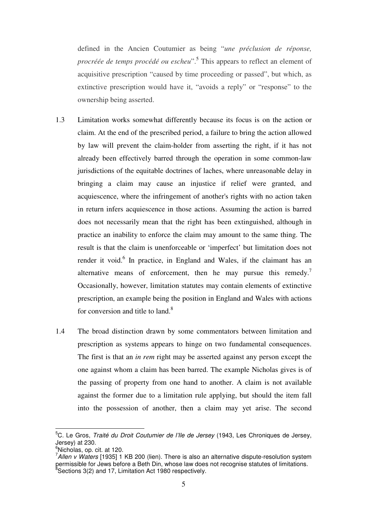defined in the Ancien Coutumier as being "*une préclusion de réponse, procréée de temps procédé ou escheu*".<sup>5</sup> This appears to reflect an element of acquisitive prescription "caused by time proceeding or passed", but which, as extinctive prescription would have it, "avoids a reply" or "response" to the ownership being asserted.

- 1.3 Limitation works somewhat differently because its focus is on the action or claim. At the end of the prescribed period, a failure to bring the action allowed by law will prevent the claim-holder from asserting the right, if it has not already been effectively barred through the operation in some common-law jurisdictions of the equitable doctrines of laches, where unreasonable delay in bringing a claim may cause an injustice if relief were granted, and acquiescence, where the infringement of another's rights with no action taken in return infers acquiescence in those actions. Assuming the action is barred does not necessarily mean that the right has been extinguished, although in practice an inability to enforce the claim may amount to the same thing. The result is that the claim is unenforceable or 'imperfect' but limitation does not render it void.<sup>6</sup> In practice, in England and Wales, if the claimant has an alternative means of enforcement, then he may pursue this remedy.<sup>7</sup> Occasionally, however, limitation statutes may contain elements of extinctive prescription, an example being the position in England and Wales with actions for conversion and title to  $land<sup>8</sup>$
- 1.4 The broad distinction drawn by some commentators between limitation and prescription as systems appears to hinge on two fundamental consequences. The first is that an *in rem* right may be asserted against any person except the one against whom a claim has been barred. The example Nicholas gives is of the passing of property from one hand to another. A claim is not available against the former due to a limitation rule applying, but should the item fall into the possession of another, then a claim may yet arise. The second

 $\overline{a}$ 

<sup>&</sup>lt;sup>5</sup>C. Le Gros, *Traité du Droit Coutumier de l'Ile de Jersey* (1943, Les Chroniques de Jersey, Jersey) at 230.<br><sup>6</sup>Nicholas, op. cit. at 120.

 $7$ Allen v Waters [1935] 1 KB 200 (lien). There is also an alternative dispute-resolution system permissible for Jews before a Beth Din, whose law does not recognise statutes of limitations.  $3$ Sections 3(2) and 17, Limitation Act 1980 respectively.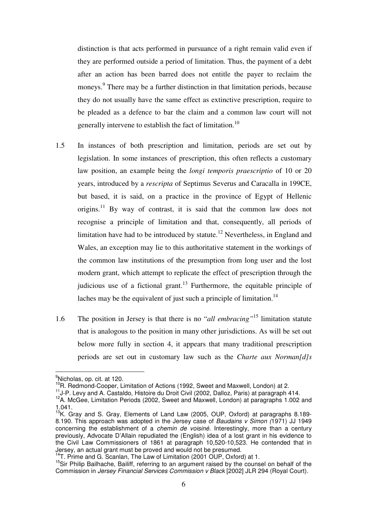distinction is that acts performed in pursuance of a right remain valid even if they are performed outside a period of limitation. Thus, the payment of a debt after an action has been barred does not entitle the payer to reclaim the moneys.<sup>9</sup> There may be a further distinction in that limitation periods, because they do not usually have the same effect as extinctive prescription, require to be pleaded as a defence to bar the claim and a common law court will not generally intervene to establish the fact of limitation.<sup>10</sup>

- 1.5 In instances of both prescription and limitation, periods are set out by legislation. In some instances of prescription, this often reflects a customary law position, an example being the *longi temporis praescriptio* of 10 or 20 years, introduced by a *rescripta* of Septimus Severus and Caracalla in 199CE, but based, it is said, on a practice in the province of Egypt of Hellenic origins.<sup>11</sup> By way of contrast, it is said that the common law does not recognise a principle of limitation and that, consequently, all periods of limitation have had to be introduced by statute.<sup>12</sup> Nevertheless, in England and Wales, an exception may lie to this authoritative statement in the workings of the common law institutions of the presumption from long user and the lost modern grant, which attempt to replicate the effect of prescription through the judicious use of a fictional grant.<sup>13</sup> Furthermore, the equitable principle of laches may be the equivalent of just such a principle of limitation.<sup>14</sup>
- 1.6 The position in Jersey is that there is no "*all embracing"*15 limitation statute that is analogous to the position in many other jurisdictions. As will be set out below more fully in section 4, it appears that many traditional prescription periods are set out in customary law such as the *Charte aux Norman[d]s*

 $\overline{a}$ 

<sup>&</sup>lt;sup>9</sup>Nicholas, op. cit. at 120.

<sup>&</sup>lt;sup>10</sup>R. Redmond-Cooper, Limitation of Actions (1992, Sweet and Maxwell, London) at 2.<br><sup>11</sup>J-P. Levy and A. Castaldo, Histoire du Droit Civil (2002, Dalloz, Paris) at paragraph 414.<br><sup>12</sup>A. McGee. Limitation Periods (2002, S

<sup>1.041.</sup> 

<sup>&</sup>lt;sup>13</sup>K. Gray and S. Gray, Elements of Land Law (2005, OUP, Oxford) at paragraphs 8.189-8.190. This approach was adopted in the Jersey case of Baudains v Simon (1971) JJ 1949 concerning the establishment of a *chemin de voisiné*. Interestingly, more than a century previously, Advocate D'Allain repudiated the (English) idea of a lost grant in his evidence to the Civil Law Commissioners of 1861 at paragraph 10,520-10,523. He contended that in Jersey, an actual grant must be proved and would not be presumed.<br><sup>14</sup>T. Prime and G. Scanlan, The Law of Limitation (2001 OUP, Oxford) at 1.<br><sup>15</sup>Sir Philip Bailhache, Bailiff, referring to an argument raised by the counse

Commission in Jersey Financial Services Commission v Black [2002] JLR 294 (Royal Court).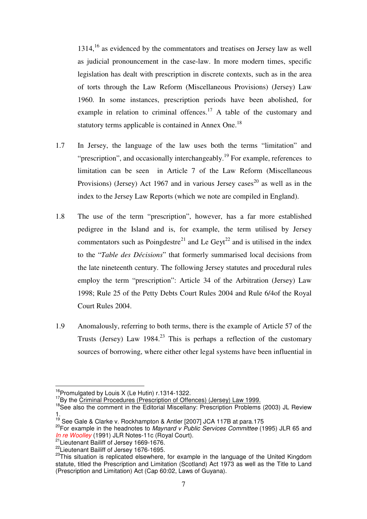$1314<sup>16</sup>$  as evidenced by the commentators and treatises on Jersey law as well as judicial pronouncement in the case-law. In more modern times, specific legislation has dealt with prescription in discrete contexts, such as in the area of torts through the Law Reform (Miscellaneous Provisions) (Jersey) Law 1960. In some instances, prescription periods have been abolished, for example in relation to criminal offences.<sup>17</sup> A table of the customary and statutory terms applicable is contained in Annex One.<sup>18</sup>

- 1.7 In Jersey, the language of the law uses both the terms "limitation" and "prescription", and occasionally interchangeably.<sup>19</sup> For example, references to limitation can be seen in Article 7 of the Law Reform (Miscellaneous Provisions) (Jersey) Act 1967 and in various Jersey cases<sup>20</sup> as well as in the index to the Jersey Law Reports (which we note are compiled in England).
- 1.8 The use of the term "prescription", however, has a far more established pedigree in the Island and is, for example, the term utilised by Jersey commentators such as Poingdestre<sup>21</sup> and Le Geyt<sup>22</sup> and is utilised in the index to the "*Table des Décisions*" that formerly summarised local decisions from the late nineteenth century. The following Jersey statutes and procedural rules employ the term "prescription": Article 34 of the Arbitration (Jersey) Law 1998; Rule 25 of the Petty Debts Court Rules 2004 and Rule 6/4of the Royal Court Rules 2004.
- 1.9 Anomalously, referring to both terms, there is the example of Article 57 of the Trusts (Jersey) Law 1984.<sup>23</sup> This is perhaps a reflection of the customary sources of borrowing, where either other legal systems have been influential in

<sup>&</sup>lt;sup>16</sup>Promulgated by Louis X (Le Hutin) r.1314-1322.

<sup>&</sup>lt;sup>17</sup>By the *Criminal Procedures (Prescription of Offences) (Jersey) Law 1999.*<br><sup>18</sup>See also the comment in the Editorial Miscellany: Prescription Problems (2003) JL Review 1.

<sup>&</sup>lt;sup>19</sup> See Gale & Clarke v. Rockhampton & Antler [2007] JCA 117B at para.175<br><sup>20</sup>For example in the headnotes to *Maynard v Public Services Committee* (1995) JLR 65 and *In re Woolley* (1991) JLR Notes-11c (Royal Court).<br>
<sup>21</sup> Lieutenant Bailiff of Jersey 1669-1676.<br>
<sup>22</sup> Lieutenant Bailiff of Jersey 1676-1695.<br>
<sup>22</sup> This situation is replicated elsewhere, for example in the language of

statute, titled the Prescription and Limitation (Scotland) Act 1973 as well as the Title to Land (Prescription and Limitation) Act (Cap 60:02, Laws of Guyana).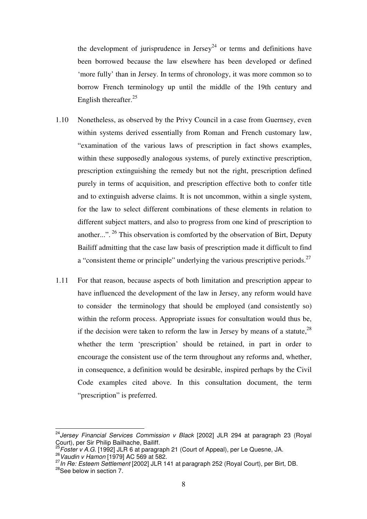the development of jurisprudence in Jersey<sup>24</sup> or terms and definitions have been borrowed because the law elsewhere has been developed or defined 'more fully' than in Jersey. In terms of chronology, it was more common so to borrow French terminology up until the middle of the 19th century and English thereafter. $25$ 

- 1.10 Nonetheless, as observed by the Privy Council in a case from Guernsey, even within systems derived essentially from Roman and French customary law, "examination of the various laws of prescription in fact shows examples, within these supposedly analogous systems, of purely extinctive prescription, prescription extinguishing the remedy but not the right, prescription defined purely in terms of acquisition, and prescription effective both to confer title and to extinguish adverse claims. It is not uncommon, within a single system, for the law to select different combinations of these elements in relation to different subject matters, and also to progress from one kind of prescription to another...". 26 This observation is comforted by the observation of Birt, Deputy Bailiff admitting that the case law basis of prescription made it difficult to find a "consistent theme or principle" underlying the various prescriptive periods.<sup>27</sup>
- 1.11 For that reason, because aspects of both limitation and prescription appear to have influenced the development of the law in Jersey, any reform would have to consider the terminology that should be employed (and consistently so) within the reform process. Appropriate issues for consultation would thus be, if the decision were taken to reform the law in Jersey by means of a statute,  $^{28}$ whether the term 'prescription' should be retained, in part in order to encourage the consistent use of the term throughout any reforms and, whether, in consequence, a definition would be desirable, inspired perhaps by the Civil Code examples cited above. In this consultation document, the term "prescription" is preferred.

<sup>&</sup>lt;sup>24</sup>Jersey Financial Services Commission v Black [2002] JLR 294 at paragraph 23 (Royal Court), per Sir Philip Bailhache, Bailiff.

<sup>&</sup>lt;sup>25</sup>Foster v A.G. [1992] JLR 6 at paragraph 21 (Court of Appeal), per Le Quesne, JA. <sup>26</sup> Vaudin v Hamon [1979] AC 569 at 582.

<sup>27</sup> In Re: Esteem Settlement [2002] JLR 141 at paragraph 252 (Royal Court), per Birt, DB. <sup>28</sup>See below in section 7.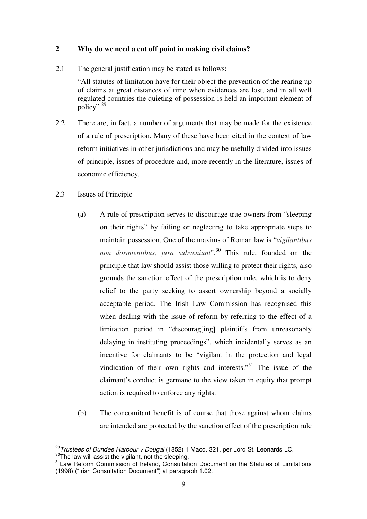### **2 Why do we need a cut off point in making civil claims?**

2.1 The general justification may be stated as follows:

"All statutes of limitation have for their object the prevention of the rearing up of claims at great distances of time when evidences are lost, and in all well regulated countries the quieting of possession is held an important element of policy".<sup>29</sup>

- 2.2 There are, in fact, a number of arguments that may be made for the existence of a rule of prescription. Many of these have been cited in the context of law reform initiatives in other jurisdictions and may be usefully divided into issues of principle, issues of procedure and, more recently in the literature, issues of economic efficiency.
- 2.3 Issues of Principle
	- (a) A rule of prescription serves to discourage true owners from "sleeping on their rights" by failing or neglecting to take appropriate steps to maintain possession. One of the maxims of Roman law is "*vigilantibus non dormientibus, jura subveniunt*". 30 This rule, founded on the principle that law should assist those willing to protect their rights, also grounds the sanction effect of the prescription rule, which is to deny relief to the party seeking to assert ownership beyond a socially acceptable period. The Irish Law Commission has recognised this when dealing with the issue of reform by referring to the effect of a limitation period in "discourag[ing] plaintiffs from unreasonably delaying in instituting proceedings", which incidentally serves as an incentive for claimants to be "vigilant in the protection and legal vindication of their own rights and interests. $131$  The issue of the claimant's conduct is germane to the view taken in equity that prompt action is required to enforce any rights.
	- (b) The concomitant benefit is of course that those against whom claims are intended are protected by the sanction effect of the prescription rule

<sup>&</sup>lt;sup>29</sup> Trustees of Dundee Harbour v Dougal (1852) 1 Macq. 321, per Lord St. Leonards LC. <sup>30</sup>The law will assist the vigilant, not the sleeping.<br><sup>31</sup> Law Reform Commission of Ireland, Consultation Document on the Statutes of Limitations

<sup>(1998) (&</sup>quot;Irish Consultation Document") at paragraph 1.02.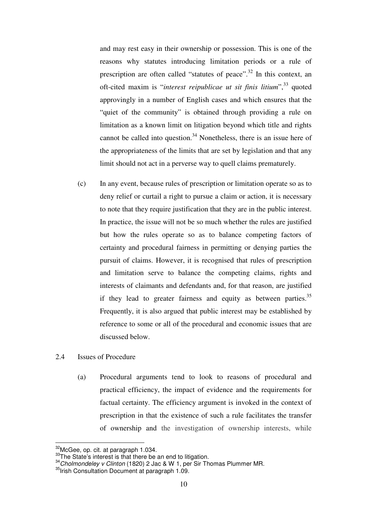and may rest easy in their ownership or possession. This is one of the reasons why statutes introducing limitation periods or a rule of prescription are often called "statutes of peace".32 In this context, an oft-cited maxim is "*interest reipublicae ut sit finis litium*",33 quoted approvingly in a number of English cases and which ensures that the "quiet of the community" is obtained through providing a rule on limitation as a known limit on litigation beyond which title and rights cannot be called into question.<sup>34</sup> Nonetheless, there is an issue here of the appropriateness of the limits that are set by legislation and that any limit should not act in a perverse way to quell claims prematurely.

- (c) In any event, because rules of prescription or limitation operate so as to deny relief or curtail a right to pursue a claim or action, it is necessary to note that they require justification that they are in the public interest. In practice, the issue will not be so much whether the rules are justified but how the rules operate so as to balance competing factors of certainty and procedural fairness in permitting or denying parties the pursuit of claims. However, it is recognised that rules of prescription and limitation serve to balance the competing claims, rights and interests of claimants and defendants and, for that reason, are justified if they lead to greater fairness and equity as between parties.<sup>35</sup> Frequently, it is also argued that public interest may be established by reference to some or all of the procedural and economic issues that are discussed below.
- 2.4 Issues of Procedure
	- (a) Procedural arguments tend to look to reasons of procedural and practical efficiency, the impact of evidence and the requirements for factual certainty. The efficiency argument is invoked in the context of prescription in that the existence of such a rule facilitates the transfer of ownership and the investigation of ownership interests, while

<sup>&</sup>lt;sup>32</sup>McGee. op. cit. at paragraph 1.034.

<sup>33</sup>The State's interest is that there be an end to litigation.<br>  $\frac{34}{3}Cholmondeley$  v Clinton (1820) 2 Jac & W 1, per Sir Thomas Plummer MR.  $\frac{35}{1}$ rish Consultation Document at paragraph 1.09.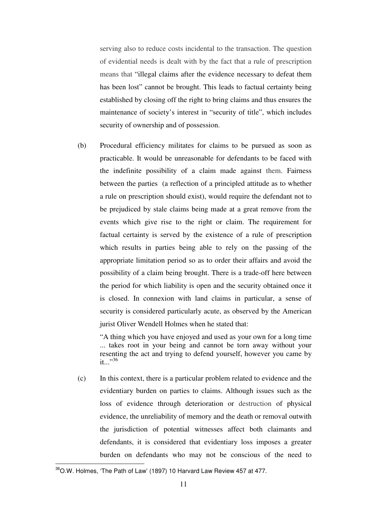serving also to reduce costs incidental to the transaction. The question of evidential needs is dealt with by the fact that a rule of prescription means that "illegal claims after the evidence necessary to defeat them has been lost" cannot be brought. This leads to factual certainty being established by closing off the right to bring claims and thus ensures the maintenance of society's interest in "security of title", which includes security of ownership and of possession.

(b) Procedural efficiency militates for claims to be pursued as soon as practicable. It would be unreasonable for defendants to be faced with the indefinite possibility of a claim made against them. Fairness between the parties (a reflection of a principled attitude as to whether a rule on prescription should exist), would require the defendant not to be prejudiced by stale claims being made at a great remove from the events which give rise to the right or claim. The requirement for factual certainty is served by the existence of a rule of prescription which results in parties being able to rely on the passing of the appropriate limitation period so as to order their affairs and avoid the possibility of a claim being brought. There is a trade-off here between the period for which liability is open and the security obtained once it is closed. In connexion with land claims in particular, a sense of security is considered particularly acute, as observed by the American jurist Oliver Wendell Holmes when he stated that:

"A thing which you have enjoyed and used as your own for a long time ... takes root in your being and cannot be torn away without your resenting the act and trying to defend yourself, however you came by  $it \rightarrow .36$ 

(c) In this context, there is a particular problem related to evidence and the evidentiary burden on parties to claims. Although issues such as the loss of evidence through deterioration or destruction of physical evidence, the unreliability of memory and the death or removal outwith the jurisdiction of potential witnesses affect both claimants and defendants, it is considered that evidentiary loss imposes a greater burden on defendants who may not be conscious of the need to

 $\overline{a}$ 

 $36$ O.W. Holmes, 'The Path of Law' (1897) 10 Harvard Law Review 457 at 477.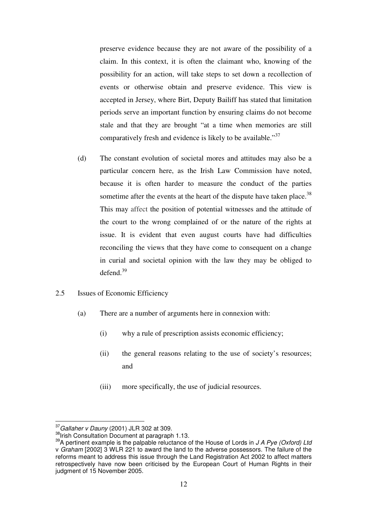preserve evidence because they are not aware of the possibility of a claim. In this context, it is often the claimant who, knowing of the possibility for an action, will take steps to set down a recollection of events or otherwise obtain and preserve evidence. This view is accepted in Jersey, where Birt, Deputy Bailiff has stated that limitation periods serve an important function by ensuring claims do not become stale and that they are brought "at a time when memories are still comparatively fresh and evidence is likely to be available."<sup>37</sup>

- (d) The constant evolution of societal mores and attitudes may also be a particular concern here, as the Irish Law Commission have noted, because it is often harder to measure the conduct of the parties sometime after the events at the heart of the dispute have taken place.<sup>38</sup> This may affect the position of potential witnesses and the attitude of the court to the wrong complained of or the nature of the rights at issue. It is evident that even august courts have had difficulties reconciling the views that they have come to consequent on a change in curial and societal opinion with the law they may be obliged to defend.<sup>39</sup>
- 2.5 Issues of Economic Efficiency
	- (a) There are a number of arguments here in connexion with:
		- (i) why a rule of prescription assists economic efficiency;
		- (ii) the general reasons relating to the use of society's resources; and
		- (iii) more specifically, the use of judicial resources.

 $37$  Gallaher v Dauny (2001) JLR 302 at 309.

<sup>38</sup>Irish Consultation Document at paragraph 1.13.<br><sup>39</sup>A pertinent example is the palpable reluctance of the House of Lords in J A Pye (Oxford) Ltd v Graham [2002] 3 WLR 221 to award the land to the adverse possessors. The failure of the reforms meant to address this issue through the Land Registration Act 2002 to affect matters retrospectively have now been criticised by the European Court of Human Rights in their judgment of 15 November 2005.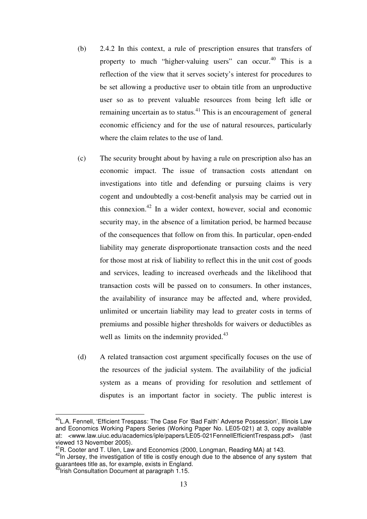- (b) 2.4.2 In this context, a rule of prescription ensures that transfers of property to much "higher-valuing users" can occur.<sup>40</sup> This is a reflection of the view that it serves society's interest for procedures to be set allowing a productive user to obtain title from an unproductive user so as to prevent valuable resources from being left idle or remaining uncertain as to status.<sup>41</sup> This is an encouragement of general economic efficiency and for the use of natural resources, particularly where the claim relates to the use of land.
- (c) The security brought about by having a rule on prescription also has an economic impact. The issue of transaction costs attendant on investigations into title and defending or pursuing claims is very cogent and undoubtedly a cost-benefit analysis may be carried out in this connexion.<sup>42</sup> In a wider context, however, social and economic security may, in the absence of a limitation period, be harmed because of the consequences that follow on from this. In particular, open-ended liability may generate disproportionate transaction costs and the need for those most at risk of liability to reflect this in the unit cost of goods and services, leading to increased overheads and the likelihood that transaction costs will be passed on to consumers. In other instances, the availability of insurance may be affected and, where provided, unlimited or uncertain liability may lead to greater costs in terms of premiums and possible higher thresholds for waivers or deductibles as well as limits on the indemnity provided.<sup>43</sup>
- (d) A related transaction cost argument specifically focuses on the use of the resources of the judicial system. The availability of the judicial system as a means of providing for resolution and settlement of disputes is an important factor in society. The public interest is

 $\overline{a}$ <sup>40</sup>L.A. Fennell, 'Efficient Trespass: The Case For 'Bad Faith' Adverse Possession', Illinois Law and Economics Working Papers Series (Working Paper No. LE05-021) at 3, copy available at: <www.law.uiuc.edu/academics/iple/papers/LE05-021FennellEfficientTrespass.pdf> (last viewed 13 November 2005).<br><sup>41</sup>R. Cooter and T. Ulen, Law and Economics (2000, Longman, Reading MA) at 143.

<sup>&</sup>lt;sup>42</sup>In Jersey, the investigation of title is costly enough due to the absence of any system that guarantees title as, for example, exists in England.<br><sup>43</sup>Irish Consultation Document at paragraph 1.15.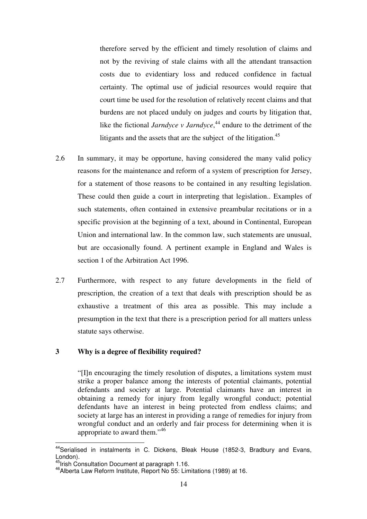therefore served by the efficient and timely resolution of claims and not by the reviving of stale claims with all the attendant transaction costs due to evidentiary loss and reduced confidence in factual certainty. The optimal use of judicial resources would require that court time be used for the resolution of relatively recent claims and that burdens are not placed unduly on judges and courts by litigation that, like the fictional *Jarndyce v Jarndyce*, 44 endure to the detriment of the litigants and the assets that are the subject of the litigation.<sup>45</sup>

- 2.6 In summary, it may be opportune, having considered the many valid policy reasons for the maintenance and reform of a system of prescription for Jersey, for a statement of those reasons to be contained in any resulting legislation. These could then guide a court in interpreting that legislation.. Examples of such statements, often contained in extensive preambular recitations or in a specific provision at the beginning of a text, abound in Continental, European Union and international law. In the common law, such statements are unusual, but are occasionally found. A pertinent example in England and Wales is section 1 of the Arbitration Act 1996.
- 2.7 Furthermore, with respect to any future developments in the field of prescription, the creation of a text that deals with prescription should be as exhaustive a treatment of this area as possible. This may include a presumption in the text that there is a prescription period for all matters unless statute says otherwise.

#### **3 Why is a degree of flexibility required?**

"[I]n encouraging the timely resolution of disputes, a limitations system must strike a proper balance among the interests of potential claimants, potential defendants and society at large. Potential claimants have an interest in obtaining a remedy for injury from legally wrongful conduct; potential defendants have an interest in being protected from endless claims; and society at large has an interest in providing a range of remedies for injury from wrongful conduct and an orderly and fair process for determining when it is appropriate to award them."46

 $\overline{a}$ 

<sup>&</sup>lt;sup>44</sup>Serialised in instalments in C. Dickens, Bleak House (1852-3, Bradbury and Evans, London).<br><sup>45</sup>Irish Consultation Document at paragraph 1.16.

<sup>&</sup>lt;sup>46</sup>Alberta Law Reform Institute, Report No 55: Limitations (1989) at 16.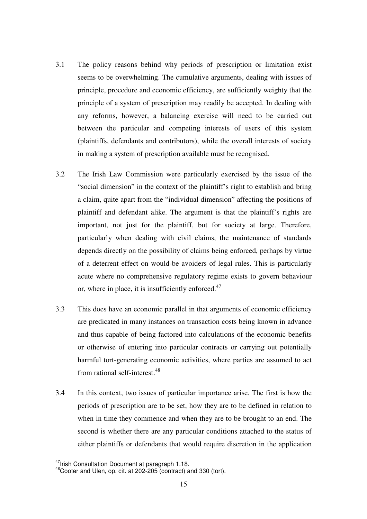- 3.1 The policy reasons behind why periods of prescription or limitation exist seems to be overwhelming. The cumulative arguments, dealing with issues of principle, procedure and economic efficiency, are sufficiently weighty that the principle of a system of prescription may readily be accepted. In dealing with any reforms, however, a balancing exercise will need to be carried out between the particular and competing interests of users of this system (plaintiffs, defendants and contributors), while the overall interests of society in making a system of prescription available must be recognised.
- 3.2 The Irish Law Commission were particularly exercised by the issue of the "social dimension" in the context of the plaintiff's right to establish and bring a claim, quite apart from the "individual dimension" affecting the positions of plaintiff and defendant alike. The argument is that the plaintiff's rights are important, not just for the plaintiff, but for society at large. Therefore, particularly when dealing with civil claims, the maintenance of standards depends directly on the possibility of claims being enforced, perhaps by virtue of a deterrent effect on would-be avoiders of legal rules. This is particularly acute where no comprehensive regulatory regime exists to govern behaviour or, where in place, it is insufficiently enforced. $47$
- 3.3 This does have an economic parallel in that arguments of economic efficiency are predicated in many instances on transaction costs being known in advance and thus capable of being factored into calculations of the economic benefits or otherwise of entering into particular contracts or carrying out potentially harmful tort-generating economic activities, where parties are assumed to act from rational self-interest.<sup>48</sup>
- 3.4 In this context, two issues of particular importance arise. The first is how the periods of prescription are to be set, how they are to be defined in relation to when in time they commence and when they are to be brought to an end. The second is whether there are any particular conditions attached to the status of either plaintiffs or defendants that would require discretion in the application

<sup>&</sup>lt;sup>47</sup> Irish Consultation Document at paragraph 1.18.

 $48$ Cooter and Ulen, op. cit. at 202-205 (contract) and 330 (tort).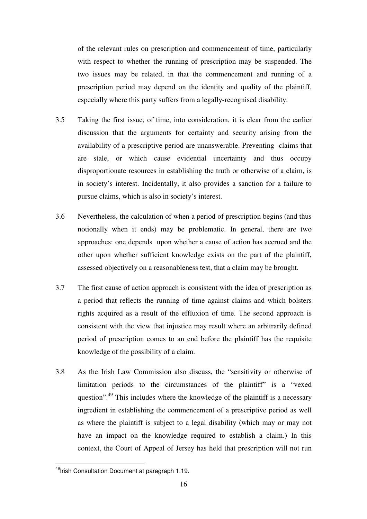of the relevant rules on prescription and commencement of time, particularly with respect to whether the running of prescription may be suspended. The two issues may be related, in that the commencement and running of a prescription period may depend on the identity and quality of the plaintiff, especially where this party suffers from a legally-recognised disability.

- 3.5 Taking the first issue, of time, into consideration, it is clear from the earlier discussion that the arguments for certainty and security arising from the availability of a prescriptive period are unanswerable. Preventing claims that are stale, or which cause evidential uncertainty and thus occupy disproportionate resources in establishing the truth or otherwise of a claim, is in society's interest. Incidentally, it also provides a sanction for a failure to pursue claims, which is also in society's interest.
- 3.6 Nevertheless, the calculation of when a period of prescription begins (and thus notionally when it ends) may be problematic. In general, there are two approaches: one depends upon whether a cause of action has accrued and the other upon whether sufficient knowledge exists on the part of the plaintiff, assessed objectively on a reasonableness test, that a claim may be brought.
- 3.7 The first cause of action approach is consistent with the idea of prescription as a period that reflects the running of time against claims and which bolsters rights acquired as a result of the effluxion of time. The second approach is consistent with the view that injustice may result where an arbitrarily defined period of prescription comes to an end before the plaintiff has the requisite knowledge of the possibility of a claim.
- 3.8 As the Irish Law Commission also discuss, the "sensitivity or otherwise of limitation periods to the circumstances of the plaintiff" is a "vexed question".<sup>49</sup> This includes where the knowledge of the plaintiff is a necessary ingredient in establishing the commencement of a prescriptive period as well as where the plaintiff is subject to a legal disability (which may or may not have an impact on the knowledge required to establish a claim.) In this context, the Court of Appeal of Jersey has held that prescription will not run

 $\overline{a}$ <sup>49</sup>Irish Consultation Document at paragraph 1.19.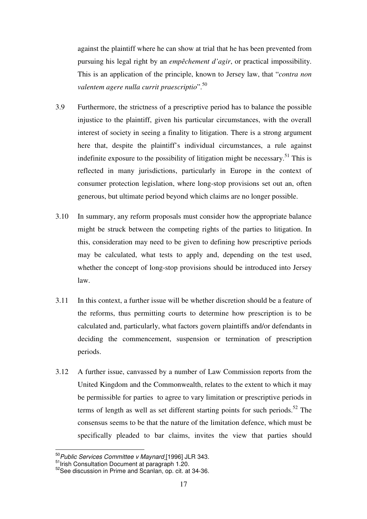against the plaintiff where he can show at trial that he has been prevented from pursuing his legal right by an *empêchement d'agir*, or practical impossibility. This is an application of the principle, known to Jersey law, that "*contra non valentem agere nulla currit praescriptio*".<sup>50</sup>

- 3.9 Furthermore, the strictness of a prescriptive period has to balance the possible injustice to the plaintiff, given his particular circumstances, with the overall interest of society in seeing a finality to litigation. There is a strong argument here that, despite the plaintiff's individual circumstances, a rule against indefinite exposure to the possibility of litigation might be necessary.<sup>51</sup> This is reflected in many jurisdictions, particularly in Europe in the context of consumer protection legislation, where long-stop provisions set out an, often generous, but ultimate period beyond which claims are no longer possible.
- 3.10 In summary, any reform proposals must consider how the appropriate balance might be struck between the competing rights of the parties to litigation. In this, consideration may need to be given to defining how prescriptive periods may be calculated, what tests to apply and, depending on the test used, whether the concept of long-stop provisions should be introduced into Jersey law.
- 3.11 In this context, a further issue will be whether discretion should be a feature of the reforms, thus permitting courts to determine how prescription is to be calculated and, particularly, what factors govern plaintiffs and/or defendants in deciding the commencement, suspension or termination of prescription periods.
- 3.12 A further issue, canvassed by a number of Law Commission reports from the United Kingdom and the Commonwealth, relates to the extent to which it may be permissible for parties to agree to vary limitation or prescriptive periods in terms of length as well as set different starting points for such periods.<sup>52</sup> The consensus seems to be that the nature of the limitation defence, which must be specifically pleaded to bar claims, invites the view that parties should

<sup>&</sup>lt;sup>50</sup> Public Services Committee v Maynard [1996] JLR 343.

 $51$ <br>Inish Consultation Document at paragraph 1.20.<br> $52$ See discussion in Prime and Scanlan, op. cit. at 34-36.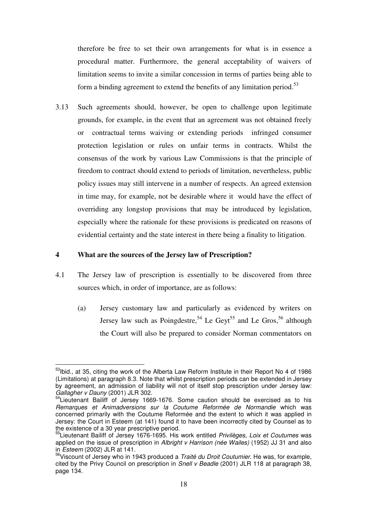therefore be free to set their own arrangements for what is in essence a procedural matter. Furthermore, the general acceptability of waivers of limitation seems to invite a similar concession in terms of parties being able to form a binding agreement to extend the benefits of any limitation period.<sup>53</sup>

3.13 Such agreements should, however, be open to challenge upon legitimate grounds, for example, in the event that an agreement was not obtained freely or contractual terms waiving or extending periods infringed consumer protection legislation or rules on unfair terms in contracts. Whilst the consensus of the work by various Law Commissions is that the principle of freedom to contract should extend to periods of limitation, nevertheless, public policy issues may still intervene in a number of respects. An agreed extension in time may, for example, not be desirable where it would have the effect of overriding any longstop provisions that may be introduced by legislation, especially where the rationale for these provisions is predicated on reasons of evidential certainty and the state interest in there being a finality to litigation.

#### **4 What are the sources of the Jersey law of Prescription?**

 $\overline{a}$ 

- 4.1 The Jersey law of prescription is essentially to be discovered from three sources which, in order of importance, are as follows:
	- (a) Jersey customary law and particularly as evidenced by writers on Jersey law such as Poingdestre,<sup>54</sup> Le Geyt<sup>55</sup> and Le Gros,<sup>56</sup> although the Court will also be prepared to consider Norman commentators on

<sup>&</sup>lt;sup>53</sup>Ibid., at 35, citing the work of the Alberta Law Reform Institute in their Report No 4 of 1986 (Limitations) at paragraph 8.3. Note that whilst prescription periods can be extended in Jersey by agreement, an admission of liability will not of itself stop prescription under Jersey law: Gallagher v Dauny (2001) JLR 302.<br><sup>54</sup>Lieutenant Bailiff of Jersey 1669-1676. Some caution should be exercised as to his

Remarques et Animadversions sur la Coutume Reformée de Normandie which was concerned primarily with the Coutume Reformée and the extent to which it was applied in Jersey: the Court in Esteem (at 141) found it to have been incorrectly cited by Counsel as to the existence of a 30 year prescriptive period.

<sup>&</sup>lt;sup>55</sup>Lieutenant Bailiff of Jersey 1676-1695. His work entitled Privilèges, Loix et Coutumes was applied on the issue of prescription in Albright v Harrison (née Wailes) (1952) JJ 31 and also in Esteem (2002) JLR at 141. **Surfaith and Steem (2002)** JLR at 141. **Surfaith of Jersey who in 1943 produced a Traité du Droit Coutumier. He was, for example,** 

cited by the Privy Council on prescription in Snell y Beadle (2001) JLR 118 at paragraph 38. page 134.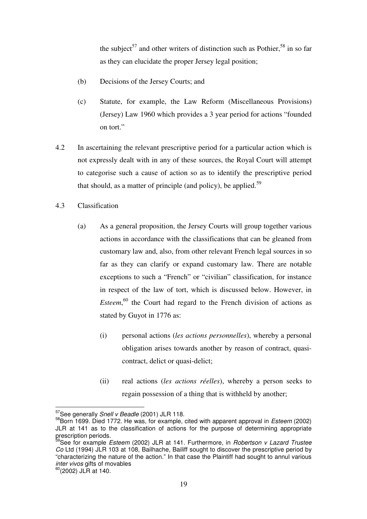the subject<sup>57</sup> and other writers of distinction such as Pothier,<sup>58</sup> in so far as they can elucidate the proper Jersey legal position;

- (b) Decisions of the Jersey Courts; and
- (c) Statute, for example, the Law Reform (Miscellaneous Provisions) (Jersey) Law 1960 which provides a 3 year period for actions "founded on tort."
- 4.2 In ascertaining the relevant prescriptive period for a particular action which is not expressly dealt with in any of these sources, the Royal Court will attempt to categorise such a cause of action so as to identify the prescriptive period that should, as a matter of principle (and policy), be applied.<sup>59</sup>
- 4.3 Classification
	- (a) As a general proposition, the Jersey Courts will group together various actions in accordance with the classifications that can be gleaned from customary law and, also, from other relevant French legal sources in so far as they can clarify or expand customary law. There are notable exceptions to such a "French" or "civilian" classification, for instance in respect of the law of tort, which is discussed below. However, in *Esteem*, 60 the Court had regard to the French division of actions as stated by Guyot in 1776 as:
		- (i) personal actions (*les actions personnelles*), whereby a personal obligation arises towards another by reason of contract, quasicontract, delict or quasi-delict;
		- (ii) real actions (*les actions réelles*), whereby a person seeks to regain possession of a thing that is withheld by another;

<sup>&</sup>lt;sup>57</sup>See generally Snell v Beadle (2001) JLR 118.

 $58$ Born 1699. Died 1772. He was, for example, cited with apparent approval in *Esteem* (2002) JLR at 141 as to the classification of actions for the purpose of determining appropriate prescription periods.

<sup>&</sup>lt;sup>59</sup>See for example *Esteem* (2002) JLR at 141. Furthermore, in *Robertson v Lazard Trustee* Co Ltd (1994) JLR 103 at 108, Bailhache, Bailiff sought to discover the prescriptive period by "characterizing the nature of the action." In that case the Plaintiff had sought to annul various<br>inter vivos gifts of movables

 $\frac{1}{60}$ (2002) JLR at 140.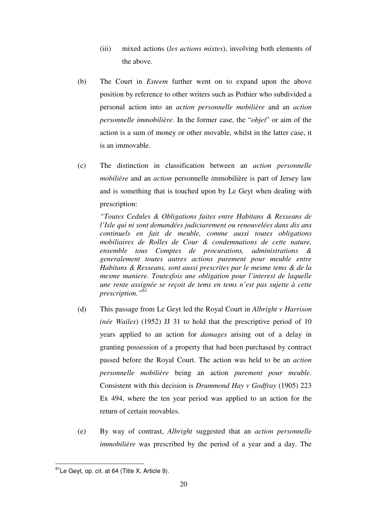- (iii) mixed actions (*les actions mixtes*), involving both elements of the above.
- (b) The Court in *Esteem* further went on to expand upon the above position by reference to other writers such as Pothier who subdivided a personal action into an *action personnelle mobilière* and an *action personnelle immobilière*. In the former case, the "*objet*" or aim of the action is a sum of money or other movable, whilst in the latter case, it is an immovable.
- (c) The distinction in classification between an *action personnelle mobilière* and an *action* personnelle *i*mmobilière is part of Jersey law and is something that is touched upon by Le Geyt when dealing with prescription:

*"Toutes Cedules & Obligations faites entre Habitans & Resseans de l'Isle qui ni sont demandées judiciarement ou renouvelées dans dix ans continuels en fait de meuble, comme aussi toutes obligations mobiliaires de Rolles de Cour & condemnations de cette nature, ensemble tous Comptes de procurations, administrations & generalement toutes autres actions purement pour meuble entre Habitans & Resseans, sont aussi prescrites par le mesme tems & de la mesme maniere. Toutesfois une obligation pour l'interest de laquelle une rente assignée se reçoit de tems en tems n'est pas sujette à cette prescription."<sup>61</sup>*

- (d) This passage from Le Geyt led the Royal Court in *Albright v Harrison (née Wailes*) (1952) JJ 31 to hold that the prescriptive period of 10 years applied to an action for *damages* arising out of a delay in granting possession of a property that had been purchased by contract passed before the Royal Court. The action was held to be an *action personnelle mobilière* being an action *purement pour meuble.* Consistent with this decision is *Drummond Hay v Godfray* (1905) 223 Ex 494, where the ten year period was applied to an action for the return of certain movables.
- (e) By way of contrast, *Albright* suggested that an *action personnelle immobilière* was prescribed by the period of a year and a day. The

 $\overline{\phantom{a}}$  $61$ Le Geyt, op. cit. at 64 (Title X, Article 9).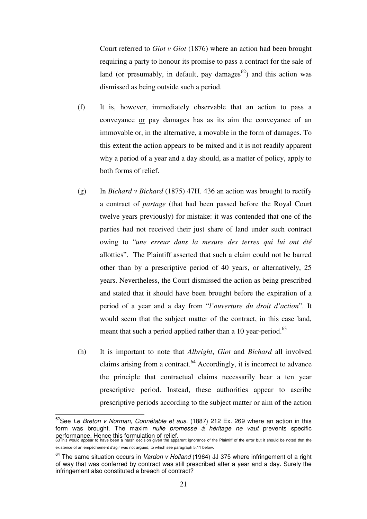Court referred to *Giot v Giot* (1876) where an action had been brought requiring a party to honour its promise to pass a contract for the sale of land (or presumably, in default, pay damages<sup>62</sup>) and this action was dismissed as being outside such a period.

- (f) It is, however, immediately observable that an action to pass a conveyance or pay damages has as its aim the conveyance of an immovable or, in the alternative, a movable in the form of damages. To this extent the action appears to be mixed and it is not readily apparent why a period of a year and a day should, as a matter of policy, apply to both forms of relief.
- (g) In *Bichard v Bichard* (1875) 47H. 436 an action was brought to rectify a contract of *partage* (that had been passed before the Royal Court twelve years previously) for mistake: it was contended that one of the parties had not received their just share of land under such contract owing to "*une erreur dans la mesure des terres qui lui ont été*  allotties". The Plaintiff asserted that such a claim could not be barred other than by a prescriptive period of 40 years, or alternatively, 25 years. Nevertheless, the Court dismissed the action as being prescribed and stated that it should have been brought before the expiration of a period of a year and a day from "*l'ouverture du droit d'action*". It would seem that the subject matter of the contract, in this case land, meant that such a period applied rather than a 10 year-period.<sup>63</sup>
- (h) It is important to note that *Albright*, *Giot* and *Bichard* all involved claims arising from a contract. $64$  Accordingly, it is incorrect to advance the principle that contractual claims necessarily bear a ten year prescriptive period. Instead, these authorities appear to ascribe prescriptive periods according to the subject matter or aim of the action

 $62$ See Le Breton v Norman, Connétable et aus. (1887) 212 Ex. 269 where an action in this form was brought. The maxim nulle promesse  $\acute{a}$  héritage ne vaut prevents specific performance. Hence this formulation of relief. 63This would appear to have been a harsh decision given the apparent ignorance of the Plaintiff of the error but it should be noted that the

existence of an empêchement d'agir was not argued, to which see paragraph 5.11 below.

 $64$  The same situation occurs in Vardon v Holland (1964) JJ 375 where infringement of a right of way that was conferred by contract was still prescribed after a year and a day. Surely the infringement also constituted a breach of contract?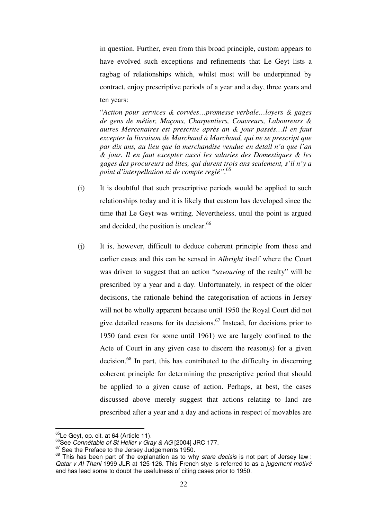in question. Further, even from this broad principle, custom appears to have evolved such exceptions and refinements that Le Geyt lists a ragbag of relationships which, whilst most will be underpinned by contract, enjoy prescriptive periods of a year and a day, three years and ten years:

"*Action pour services & corvées…promesse verbale…loyers & gages de gens de métier, Maçons, Charpentiers, Couvreurs, Laboureurs & autres Mercenaires est prescrite après an & jour passés…Il en faut excepter la livraison de Marchand à Marchand, qui ne se prescript que par dix ans, au lieu que la merchandise vendue en detail n'a que l'an & jour. Il en faut excepter aussi les salaries des Domestiques & les gages des procureurs ad lites, qui durent trois ans seulement, s'il n'y a point d'interpellation ni de compte reglé".*<sup>65</sup>

- (i) It is doubtful that such prescriptive periods would be applied to such relationships today and it is likely that custom has developed since the time that Le Geyt was writing. Nevertheless, until the point is argued and decided, the position is unclear.<sup>66</sup>
- (j) It is, however, difficult to deduce coherent principle from these and earlier cases and this can be sensed in *Albright* itself where the Court was driven to suggest that an action "*savouring* of the realty" will be prescribed by a year and a day. Unfortunately, in respect of the older decisions, the rationale behind the categorisation of actions in Jersey will not be wholly apparent because until 1950 the Royal Court did not give detailed reasons for its decisions.<sup>67</sup> Instead, for decisions prior to 1950 (and even for some until 1961) we are largely confined to the Acte of Court in any given case to discern the reason(s) for a given decision.68 In part, this has contributed to the difficulty in discerning coherent principle for determining the prescriptive period that should be applied to a given cause of action. Perhaps, at best, the cases discussed above merely suggest that actions relating to land are prescribed after a year and a day and actions in respect of movables are

<sup>&</sup>lt;sup>65</sup>Le Geyt, op. cit. at 64 (Article 11).

<sup>&</sup>lt;sup>65</sup>See *Connétable of St Helier v Gray & AG* [2004] JRC 177.<br><sup>67</sup>See the Preface to the Jersey Judgements 1950.<br><sup>67</sup>See the Preface to the Jersey Judgements 1950.<br><sup>68</sup> This has been part of the explanation as to why *star* Qatar v Al Thani 1999 JLR at 125-126. This French stye is referred to as a jugement motivé and has lead some to doubt the usefulness of citing cases prior to 1950.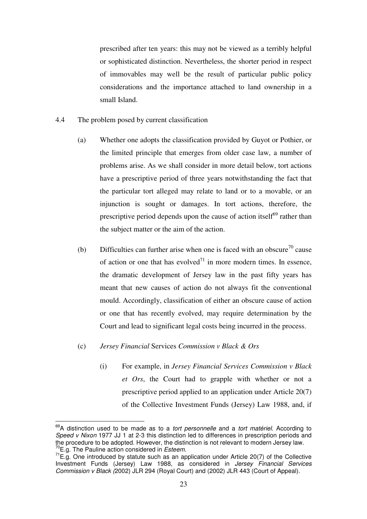prescribed after ten years: this may not be viewed as a terribly helpful or sophisticated distinction. Nevertheless, the shorter period in respect of immovables may well be the result of particular public policy considerations and the importance attached to land ownership in a small Island.

- 4.4 The problem posed by current classification
	- (a) Whether one adopts the classification provided by Guyot or Pothier, or the limited principle that emerges from older case law, a number of problems arise. As we shall consider in more detail below, tort actions have a prescriptive period of three years notwithstanding the fact that the particular tort alleged may relate to land or to a movable, or an injunction is sought or damages. In tort actions, therefore, the prescriptive period depends upon the cause of action itself $^{69}$  rather than the subject matter or the aim of the action.
	- (b) Difficulties can further arise when one is faced with an obscure<sup>70</sup> cause of action or one that has evolved<sup> $71$ </sup> in more modern times. In essence, the dramatic development of Jersey law in the past fifty years has meant that new causes of action do not always fit the conventional mould. Accordingly, classification of either an obscure cause of action or one that has recently evolved, may require determination by the Court and lead to significant legal costs being incurred in the process.
	- (c) *Jersey Financial* Services *Commission v Black & Ors*

 $\overline{\phantom{a}}$ 

(i) For example, in *Jersey Financial Services Commission v Black et Ors*, the Court had to grapple with whether or not a prescriptive period applied to an application under Article 20(7) of the Collective Investment Funds (Jersey) Law 1988, and, if

 $69A$  distinction used to be made as to a *tort personnelle* and a *tort matériel*. According to Speed v Nixon 1977 JJ 1 at 2-3 this distinction led to differences in prescription periods and the procedure to be adopted. However, the distinction is not relevant to modern Jersey law.  $^{70}$ E.g. The Pauline action considered in *Esteem*.

 $71E.a.$  One introduced by statute such as an application under Article 20(7) of the Collective Investment Funds (Jersey) Law 1988, as considered in Jersey Financial Services Commission v Black (2002) JLR 294 (Royal Court) and (2002) JLR 443 (Court of Appeal).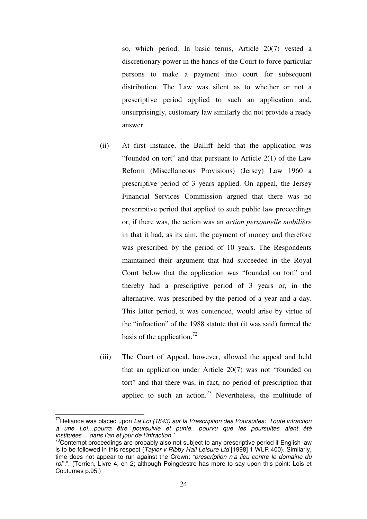so, which period. In basic terms, Article 20(7) vested a discretionary power in the hands of the Court to force particular persons to make a payment into court for subsequent distribution. The Law was silent as to whether or not a prescriptive period applied to such an application and, unsurprisingly, customary law similarly did not provide a ready answer.

- (ii) At first instance, the Bailiff held that the application was "founded on tort" and that pursuant to Article 2(1) of the Law Reform (Miscellaneous Provisions) (Jersey) Law 1960 a prescriptive period of 3 years applied. On appeal, the Jersey Financial Services Commission argued that there was no prescriptive period that applied to such public law proceedings or, if there was, the action was an *action personnelle mobilière* in that it had, as its aim, the payment of money and therefore was prescribed by the period of 10 years. The Respondents maintained their argument that had succeeded in the Royal Court below that the application was "founded on tort" and thereby had a prescriptive period of 3 years or, in the alternative, was prescribed by the period of a year and a day. This latter period, it was contended, would arise by virtue of the "infraction" of the 1988 statute that (it was said) formed the basis of the application.<sup>72</sup>
- (iii) The Court of Appeal, however, allowed the appeal and held that an application under Article 20(7) was not "founded on tort" and that there was, in fact, no period of prescription that applied to such an action.<sup>73</sup> Nevertheless, the multitude of

 $\overline{a}$ 

 $72$ Reliance was placed upon La Loi (1843) sur la Prescription des Poursuites: 'Toute infraction à une Loi…pourra être poursuivie et punie….pourvu que les poursuites aient été instituées….dans l'an et jour de l'infraction.'

 $73$ Contempt proceedings are probably also not subject to any prescriptive period if English law is to be followed in this respect (*Taylor v Ribby Hall Leisure Ltd* [1998] 1 WLR 400). Similarly, time does not appear to run against the Crown: "prescription n'a lieu contre le domaine du roi".". (Terrien, Livre 4, ch 2; although Poingdestre has more to say upon this point: Lois et Coutumes p.95.)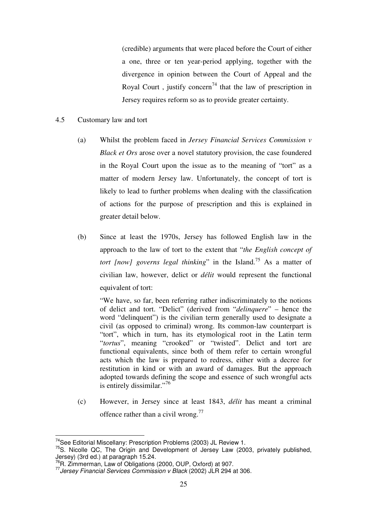(credible) arguments that were placed before the Court of either a one, three or ten year-period applying, together with the divergence in opinion between the Court of Appeal and the Royal Court, justify concern<sup>74</sup> that the law of prescription in Jersey requires reform so as to provide greater certainty.

### 4.5 Customary law and tort

- (a) Whilst the problem faced in *Jersey Financial Services Commission v Black et Ors* arose over a novel statutory provision, the case foundered in the Royal Court upon the issue as to the meaning of "tort" as a matter of modern Jersey law. Unfortunately, the concept of tort is likely to lead to further problems when dealing with the classification of actions for the purpose of prescription and this is explained in greater detail below.
- (b) Since at least the 1970s, Jersey has followed English law in the approach to the law of tort to the extent that "*the English concept of tort [now] governs legal thinking*" in the Island.<sup>75</sup> As a matter of civilian law, however, delict or *délit* would represent the functional equivalent of tort:

"We have, so far, been referring rather indiscriminately to the notions of delict and tort. "Delict" (derived from "*delinquere*" – hence the word "delinquent") is the civilian term generally used to designate a civil (as opposed to criminal) wrong. Its common-law counterpart is "tort", which in turn, has its etymological root in the Latin term "*tortus*", meaning "crooked" or "twisted". Delict and tort are functional equivalents, since both of them refer to certain wrongful acts which the law is prepared to redress, either with a decree for restitution in kind or with an award of damages. But the approach adopted towards defining the scope and essence of such wrongful acts is entirely dissimilar."<sup>76</sup>

(c) However, in Jersey since at least 1843, *délit* has meant a criminal offence rather than a civil wrong. $^{77}$ 

<sup>&</sup>lt;sup>74</sup>See Editorial Miscellany: Prescription Problems (2003) JL Review 1.

<sup>&</sup>lt;sup>75</sup>S. Nicolle QC, The Origin and Development of Jersey Law (2003, privately published, Jersey) (3rd ed.) at paragraph 15.24.<br>
<sup>76</sup>R. Zimmerman, Law of Obligations (2000, OUP, Oxford) at 907.

 $77$  Jersey Financial Services Commission v Black (2002) JLR 294 at 306.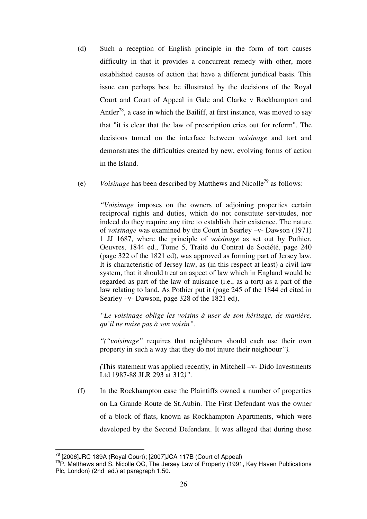- (d) Such a reception of English principle in the form of tort causes difficulty in that it provides a concurrent remedy with other, more established causes of action that have a different juridical basis. This issue can perhaps best be illustrated by the decisions of the Royal Court and Court of Appeal in Gale and Clarke v Rockhampton and Antler<sup>78</sup>, a case in which the Bailiff, at first instance, was moved to say that "it is clear that the law of prescription cries out for reform". The decisions turned on the interface between *voisinage* and tort and demonstrates the difficulties created by new, evolving forms of action in the Island.
- (e) *Voisinage* has been described by Matthews and Nicolle79 as follows:

*"Voisinage* imposes on the owners of adjoining properties certain reciprocal rights and duties, which do not constitute servitudes, nor indeed do they require any titre to establish their existence. The nature of *voisinage* was examined by the Court in Searley –v- Dawson (1971) 1 JJ 1687, where the principle of *voisinage* as set out by Pothier, Oeuvres, 1844 ed., Tome 5, Traité du Contrat de Société, page 240 (page 322 of the 1821 ed), was approved as forming part of Jersey law. It is characteristic of Jersey law, as (in this respect at least) a civil law system, that it should treat an aspect of law which in England would be regarded as part of the law of nuisance (i.e., as a tort) as a part of the law relating to land. As Pothier put it (page 245 of the 1844 ed cited in Searley –v- Dawson, page 328 of the 1821 ed),

*"Le voisinage oblige les voisins à user de son héritage, de manière, qu'il ne nuise pas à son voisin"*.

*"("voisinage"* requires that neighbours should each use their own property in such a way that they do not injure their neighbour*").* 

*(*This statement was applied recently, in Mitchell –v- Dido Investments Ltd 1987-88 JLR 293 at 312*)".* 

(f) In the Rockhampton case the Plaintiffs owned a number of properties on La Grande Route de St.Aubin. The First Defendant was the owner of a block of flats, known as Rockhampton Apartments, which were developed by the Second Defendant. It was alleged that during those

 $\overline{a}$ 

<sup>&</sup>lt;sup>78</sup> [2006]JRC 189A (Royal Court); [2007]JCA 117B (Court of Appeal)<br><sup>79</sup>P. Matthews and S. Nicolle QC, The Jersey Law of Property (1991, Key Haven Publications Plc, London) (2nd ed.) at paragraph 1.50.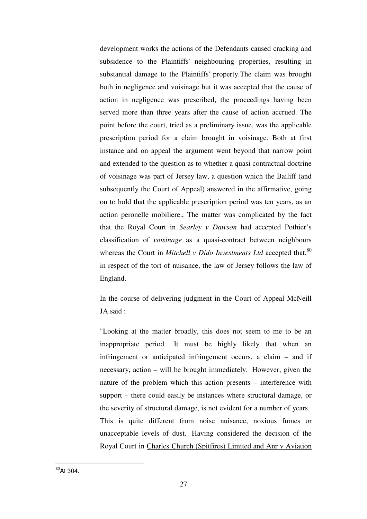development works the actions of the Defendants caused cracking and subsidence to the Plaintiffs' neighbouring properties, resulting in substantial damage to the Plaintiffs' property.The claim was brought both in negligence and voisinage but it was accepted that the cause of action in negligence was prescribed, the proceedings having been served more than three years after the cause of action accrued. The point before the court, tried as a preliminary issue, was the applicable prescription period for a claim brought in voisinage. Both at first instance and on appeal the argument went beyond that narrow point and extended to the question as to whether a quasi contractual doctrine of voisinage was part of Jersey law, a question which the Bailiff (and subsequently the Court of Appeal) answered in the affirmative, going on to hold that the applicable prescription period was ten years, as an action peronelle mobiliere., The matter was complicated by the fact that the Royal Court in *Searley v Dawson* had accepted Pothier's classification of *voisinage* as a quasi-contract between neighbours whereas the Court in *Mitchell v Dido Investments Ltd* accepted that,<sup>80</sup> in respect of the tort of nuisance, the law of Jersey follows the law of England.

In the course of delivering judgment in the Court of Appeal McNeill JA said :

"Looking at the matter broadly, this does not seem to me to be an inappropriate period. It must be highly likely that when an infringement or anticipated infringement occurs, a claim – and if necessary, action – will be brought immediately. However, given the nature of the problem which this action presents – interference with support – there could easily be instances where structural damage, or the severity of structural damage, is not evident for a number of years. This is quite different from noise nuisance, noxious fumes or unacceptable levels of dust. Having considered the decision of the Royal Court in Charles Church (Spitfires) Limited and Anr v Aviation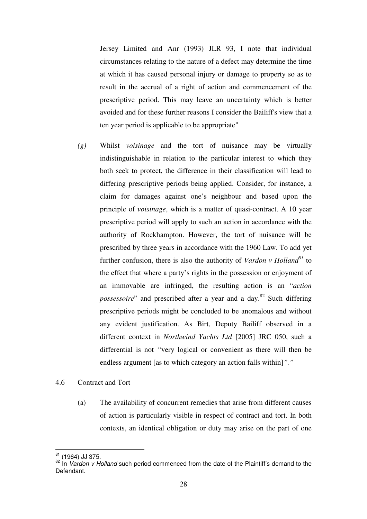Jersey Limited and Anr (1993) JLR 93, I note that individual circumstances relating to the nature of a defect may determine the time at which it has caused personal injury or damage to property so as to result in the accrual of a right of action and commencement of the prescriptive period. This may leave an uncertainty which is better avoided and for these further reasons I consider the Bailiff's view that a ten year period is applicable to be appropriate"

- *(g)* Whilst *voisinage* and the tort of nuisance may be virtually indistinguishable in relation to the particular interest to which they both seek to protect, the difference in their classification will lead to differing prescriptive periods being applied. Consider, for instance, a claim for damages against one's neighbour and based upon the principle of *voisinage*, which is a matter of quasi-contract. A 10 year prescriptive period will apply to such an action in accordance with the authority of Rockhampton. However, the tort of nuisance will be prescribed by three years in accordance with the 1960 Law. To add yet further confusion, there is also the authority of *Vardon v Holland*<sup>81</sup> to the effect that where a party's rights in the possession or enjoyment of an immovable are infringed, the resulting action is an "*action possessoire*" and prescribed after a year and a day.<sup>82</sup> Such differing prescriptive periods might be concluded to be anomalous and without any evident justification. As Birt, Deputy Bailiff observed in a different context in *Northwind Yachts Ltd* [2005] JRC 050, such a differential is not *"*very logical or convenient as there will then be endless argument [as to which category an action falls within]*"."*
- 4.6 Contract and Tort
	- (a) The availability of concurrent remedies that arise from different causes of action is particularly visible in respect of contract and tort. In both contexts, an identical obligation or duty may arise on the part of one

<sup>&</sup>lt;sup>81</sup> (1964) JJ 375.<br><sup>82</sup> In *Vardon v Holland* such period commenced from the date of the Plaintiff's demand to the Defendant.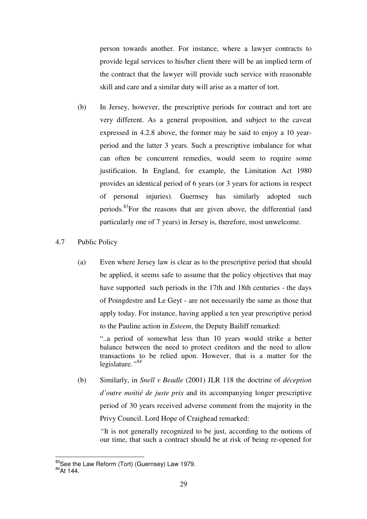person towards another. For instance, where a lawyer contracts to provide legal services to his/her client there will be an implied term of the contract that the lawyer will provide such service with reasonable skill and care and a similar duty will arise as a matter of tort.

- (b) In Jersey, however, the prescriptive periods for contract and tort are very different. As a general proposition, and subject to the caveat expressed in 4.2.8 above, the former may be said to enjoy a 10 yearperiod and the latter 3 years. Such a prescriptive imbalance for what can often be concurrent remedies, would seem to require some justification. In England, for example, the Limitation Act 1980 provides an identical period of 6 years (or 3 years for actions in respect of personal injuries). Guernsey has similarly adopted such periods.<sup>83</sup>For the reasons that are given above, the differential (and particularly one of 7 years) in Jersey is, therefore, most unwelcome.
- 4.7 Public Policy
	- (a) Even where Jersey law is clear as to the prescriptive period that should be applied, it seems safe to assume that the policy objectives that may have supported such periods in the 17th and 18th centuries - the days of Poingdestre and Le Geyt - are not necessarily the same as those that apply today. For instance, having applied a ten year prescriptive period to the Pauline action in *Esteem*, the Deputy Bailiff remarked:

"..a period of somewhat less than 10 years would strike a better balance between the need to protect creditors and the need to allow transactions to be relied upon. However, that is a matter for the legislature*."<sup>84</sup>*

(b) Similarly, in *Snell v Beadle* (2001) JLR 118 the doctrine of *déception d'outre moitié de juste prix* and its accompanying longer prescriptive period of 30 years received adverse comment from the majority in the Privy Council. Lord Hope of Craighead remarked:

*"*It is not generally recognized to be just, according to the notions of our time, that such a contract should be at risk of being re-opened for

<sup>&</sup>lt;sup>83</sup>See the Law Reform (Tort) (Guernsey) Law 1979.<br><sup>84</sup>At 144.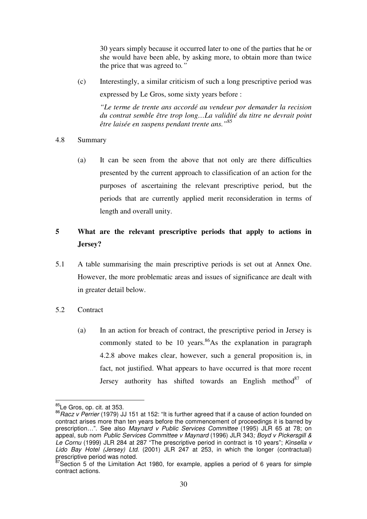30 years simply because it occurred later to one of the parties that he or she would have been able, by asking more, to obtain more than twice the price that was agreed to*."* 

(c) Interestingly, a similar criticism of such a long prescriptive period was expressed by Le Gros, some sixty years before :

*"Le terme de trente ans accordé au vendeur por demander la recision du contrat semble être trop long…La validité du titre ne devrait point être laisée en suspens pendant trente ans."*<sup>85</sup>

### 4.8 Summary

(a) It can be seen from the above that not only are there difficulties presented by the current approach to classification of an action for the purposes of ascertaining the relevant prescriptive period, but the periods that are currently applied merit reconsideration in terms of length and overall unity.

### **5 What are the relevant prescriptive periods that apply to actions in Jersey?**

5.1 A table summarising the main prescriptive periods is set out at Annex One. However, the more problematic areas and issues of significance are dealt with in greater detail below.

### 5.2 Contract

(a) In an action for breach of contract, the prescriptive period in Jersey is commonly stated to be 10 years.  $86\text{As}$  the explanation in paragraph 4.2.8 above makes clear, however, such a general proposition is, in fact, not justified. What appears to have occurred is that more recent Jersey authority has shifted towards an English method<sup>87</sup> of

<sup>85</sup>Le Gros, op. cit. at 353.

<sup>&</sup>lt;sup>86</sup> Racz v Perrier (1979) JJ 151 at 152: "It is further agreed that if a cause of action founded on contract arises more than ten years before the commencement of proceedings it is barred by prescription…". See also Maynard v Public Services Committee (1995) JLR 65 at 78; on appeal, sub nom Public Services Committee v Maynard (1996) JLR 343; Boyd v Pickersgill & Le Cornu (1999) JLR 284 at 287 "The prescriptive period in contract is 10 years"; Kinsella v Lido Bay Hotel (Jersey) Ltd. (2001) JLR 247 at 253, in which the longer (contractual) prescriptive period was noted.

 $87$ Section 5 of the Limitation Act 1980, for example, applies a period of 6 years for simple contract actions.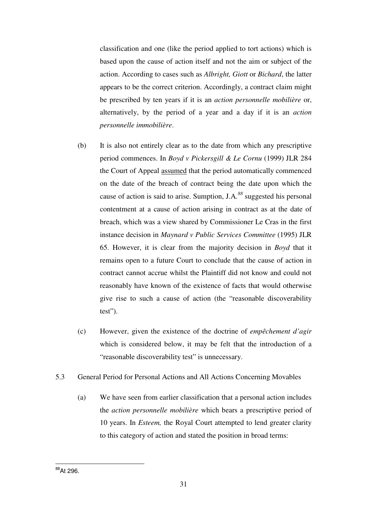classification and one (like the period applied to tort actions) which is based upon the cause of action itself and not the aim or subject of the action. According to cases such as *Albright, Giott* or *Bichard*, the latter appears to be the correct criterion. Accordingly, a contract claim might be prescribed by ten years if it is an *action personnelle mobilière* or, alternatively, by the period of a year and a day if it is an *action personnelle immobilière*.

- (b) It is also not entirely clear as to the date from which any prescriptive period commences. In *Boyd v Pickersgill & Le Cornu* (1999) JLR 284 the Court of Appeal assumed that the period automatically commenced on the date of the breach of contract being the date upon which the cause of action is said to arise. Sumption, J.A*. <sup>88</sup>* suggested his personal contentment at a cause of action arising in contract as at the date of breach, which was a view shared by Commissioner Le Cras in the first instance decision in *Maynard v Public Services Committee* (1995) JLR 65. However, it is clear from the majority decision in *Boyd* that it remains open to a future Court to conclude that the cause of action in contract cannot accrue whilst the Plaintiff did not know and could not reasonably have known of the existence of facts that would otherwise give rise to such a cause of action (the "reasonable discoverability test").
- (c) However, given the existence of the doctrine of *empêchement d'agir* which is considered below, it may be felt that the introduction of a "reasonable discoverability test" is unnecessary.
- 5.3 General Period for Personal Actions and All Actions Concerning Movables
	- (a) We have seen from earlier classification that a personal action includes the *action personnelle mobilière* which bears a prescriptive period of 10 years. In *Esteem,* the Royal Court attempted to lend greater clarity to this category of action and stated the position in broad terms:

 $\overline{\phantom{a}}$ <sup>88</sup>At 296.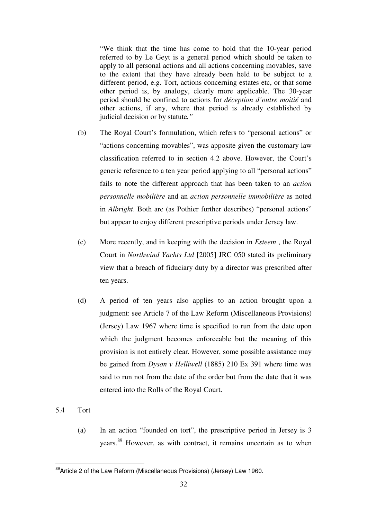"We think that the time has come to hold that the 10-year period referred to by Le Geyt is a general period which should be taken to apply to all personal actions and all actions concerning movables, save to the extent that they have already been held to be subject to a different period, e.g. Tort, actions concerning estates etc, or that some other period is, by analogy, clearly more applicable. The 30-year period should be confined to actions for *déception d'outre moitié* and other actions, if any, where that period is already established by judicial decision or by statute*."* 

- (b) The Royal Court's formulation, which refers to "personal actions" or "actions concerning movables", was apposite given the customary law classification referred to in section 4.2 above. However, the Court's generic reference to a ten year period applying to all "personal actions" fails to note the different approach that has been taken to an *action personnelle mobilière* and an *action personnelle immobilière* as noted in *Albright*. Both are (as Pothier further describes) "personal actions" but appear to enjoy different prescriptive periods under Jersey law.
- (c) More recently, and in keeping with the decision in *Esteem* , the Royal Court in *Northwind Yachts Ltd* [2005] JRC 050 stated its preliminary view that a breach of fiduciary duty by a director was prescribed after ten years.
- (d) A period of ten years also applies to an action brought upon a judgment: see Article 7 of the Law Reform (Miscellaneous Provisions) (Jersey) Law 1967 where time is specified to run from the date upon which the judgment becomes enforceable but the meaning of this provision is not entirely clear. However, some possible assistance may be gained from *Dyson v Helliwell* (1885) 210 Ex 391 where time was said to run not from the date of the order but from the date that it was entered into the Rolls of the Royal Court.
- 5.4 Tort

 $\overline{\phantom{a}}$ 

(a) In an action "founded on tort", the prescriptive period in Jersey is 3 years.89 However, as with contract, it remains uncertain as to when

<sup>&</sup>lt;sup>89</sup>Article 2 of the Law Reform (Miscellaneous Provisions) (Jersey) Law 1960.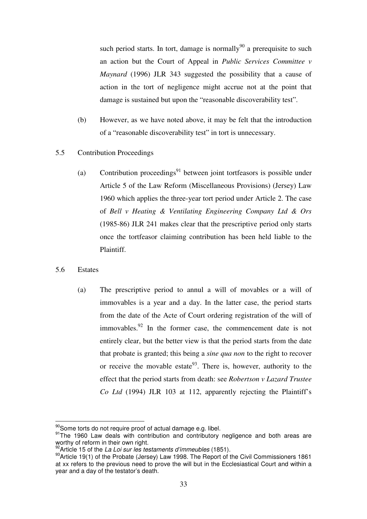such period starts. In tort, damage is normally<sup>90</sup> a prerequisite to such an action but the Court of Appeal in *Public Services Committee v Maynard* (1996) JLR 343 suggested the possibility that a cause of action in the tort of negligence might accrue not at the point that damage is sustained but upon the "reasonable discoverability test".

- (b) However, as we have noted above, it may be felt that the introduction of a "reasonable discoverability test" in tort is unnecessary.
- 5.5 Contribution Proceedings
	- (a) Contribution proceedings<sup>91</sup> between joint tortfeasors is possible under Article 5 of the Law Reform (Miscellaneous Provisions) (Jersey) Law 1960 which applies the three-year tort period under Article 2. The case of *Bell v Heating & Ventilating Engineering Company Ltd & Ors*  (1985-86) JLR 241 makes clear that the prescriptive period only starts once the tortfeasor claiming contribution has been held liable to the Plaintiff.
- 5.6 Estates
	- (a) The prescriptive period to annul a will of movables or a will of immovables is a year and a day. In the latter case, the period starts from the date of the Acte of Court ordering registration of the will of immovables. $92$  In the former case, the commencement date is not entirely clear, but the better view is that the period starts from the date that probate is granted; this being a *sine qua non* to the right to recover or receive the movable estate<sup>93</sup>. There is, however, authority to the effect that the period starts from death: see *Robertson v Lazard Trustee Co Ltd* (1994) JLR 103 at 112, apparently rejecting the Plaintiff's

<sup>&</sup>lt;sup>90</sup>Some torts do not require proof of actual damage e.g. libel.

<sup>91</sup>The 1960 Law deals with contribution and contributory negligence and both areas are worthy of reform in their own right.<br><sup>92</sup> Article 15 of the *La Loi sur les testaments d'immeubles* (1851).

<sup>92</sup>Article 15 of the La Loi sur les testaments d'immeubles (1851). 93Article 19(1) of the Probate (Jersey) Law 1998. The Report of the Civil Commissioners 1861 at xx refers to the previous need to prove the will but in the Ecclesiastical Court and within a year and a day of the testator's death.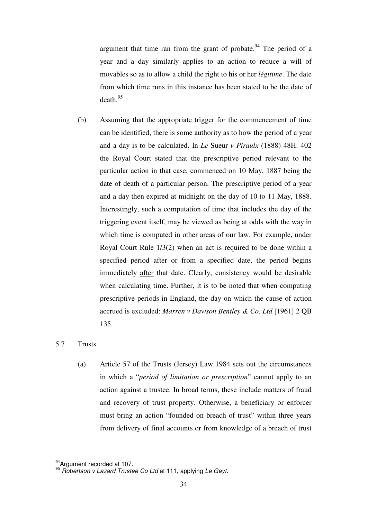argument that time ran from the grant of probate.<sup>94</sup> The period of a year and a day similarly applies to an action to reduce a will of movables so as to allow a child the right to his or her *légitime*. The date from which time runs in this instance has been stated to be the date of death.<sup>95</sup>

(b) Assuming that the appropriate trigger for the commencement of time can be identified, there is some authority as to how the period of a year and a day is to be calculated. In *Le* Sueur *v Piraulx* (1888) 48H. 402 the Royal Court stated that the prescriptive period relevant to the particular action in that case, commenced on 10 May, 1887 being the date of death of a particular person. The prescriptive period of a year and a day then expired at midnight on the day of 10 to 11 May, 1888. Interestingly, such a computation of time that includes the day of the triggering event itself, may be viewed as being at odds with the way in which time is computed in other areas of our law. For example, under Royal Court Rule 1/3(2) when an act is required to be done within a specified period after or from a specified date, the period begins immediately after that date. Clearly, consistency would be desirable when calculating time. Further, it is to be noted that when computing prescriptive periods in England, the day on which the cause of action accrued is excluded: *Marren v Dawson Bentley & Co. Ltd* [1961] 2 QB 135.

### 5.7 Trusts

(a) Article 57 of the Trusts (Jersey) Law 1984 sets out the circumstances in which a "*period of limitation or prescription*" cannot apply to an action against a trustee. In broad terms, these include matters of fraud and recovery of trust property. Otherwise, a beneficiary or enforcer must bring an action "founded on breach of trust" within three years from delivery of final accounts or from knowledge of a breach of trust

 $\overline{\phantom{a}}$ 

 $^{94}$ Argument recorded at 107.<br><sup>95</sup> Robertson v Lazard Trustee Co Ltd at 111, applying Le Geyt.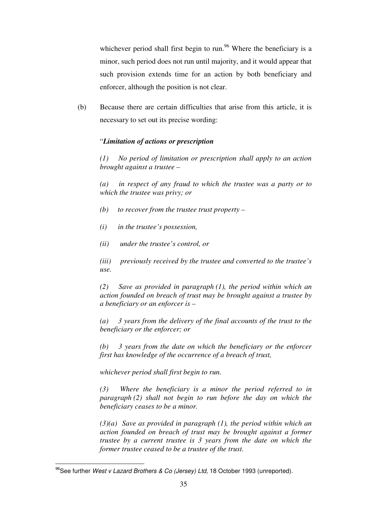whichever period shall first begin to run.<sup>96</sup> Where the beneficiary is a minor, such period does not run until majority, and it would appear that such provision extends time for an action by both beneficiary and enforcer, although the position is not clear.

(b) Because there are certain difficulties that arise from this article, it is necessary to set out its precise wording:

### "*Limitation of actions or prescription*

*(1) No period of limitation or prescription shall apply to an action brought against a trustee –* 

*(a) in respect of any fraud to which the trustee was a party or to which the trustee was privy; or* 

- *(b) to recover from the trustee trust property*
- *(i) in the trustee's possession,*
- *(ii) under the trustee's control, or*

*(iii) previously received by the trustee and converted to the trustee's use.* 

*(2) Save as provided in paragraph (1), the period within which an action founded on breach of trust may be brought against a trustee by a beneficiary or an enforcer is –* 

*(a) 3 years from the delivery of the final accounts of the trust to the beneficiary or the enforcer; or* 

*(b) 3 years from the date on which the beneficiary or the enforcer first has knowledge of the occurrence of a breach of trust,* 

*whichever period shall first begin to run.* 

*(3) Where the beneficiary is a minor the period referred to in paragraph (2) shall not begin to run before the day on which the beneficiary ceases to be a minor.* 

*(3)(a) Save as provided in paragraph (1), the period within which an action founded on breach of trust may be brought against a former trustee by a current trustee is 3 years from the date on which the former trustee ceased to be a trustee of the trust.*

<sup>&</sup>lt;sup>96</sup>See further *West v Lazard Brothers & Co (Jersey) Ltd,* 18 October 1993 (unreported).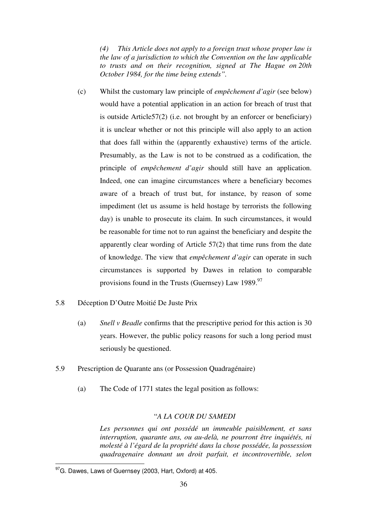*(4) This Article does not apply to a foreign trust whose proper law is the law of a jurisdiction to which the Convention on the law applicable to trusts and on their recognition, signed at The Hague on 20th October 1984, for the time being extends".*

- (c) Whilst the customary law principle of *empêchement d'agir* (see below) would have a potential application in an action for breach of trust that is outside Article57(2) (i.e. not brought by an enforcer or beneficiary) it is unclear whether or not this principle will also apply to an action that does fall within the (apparently exhaustive) terms of the article. Presumably, as the Law is not to be construed as a codification, the principle of *empêchement d'agir* should still have an application. Indeed, one can imagine circumstances where a beneficiary becomes aware of a breach of trust but, for instance, by reason of some impediment (let us assume is held hostage by terrorists the following day) is unable to prosecute its claim. In such circumstances, it would be reasonable for time not to run against the beneficiary and despite the apparently clear wording of Article 57(2) that time runs from the date of knowledge. The view that *empêchement d'agir* can operate in such circumstances is supported by Dawes in relation to comparable provisions found in the Trusts (Guernsey) Law 1989.<sup>97</sup>
- 5.8 Déception D'Outre Moitié De Juste Prix
	- (a) *Snell v Beadle* confirms that the prescriptive period for this action is 30 years. However, the public policy reasons for such a long period must seriously be questioned.
- 5.9 Prescription de Quarante ans (or Possession Quadragénaire)
	- (a) The Code of 1771 states the legal position as follows:

### "*A LA COUR DU SAMEDI*

*Les personnes qui ont possédé un immeuble paisiblement, et sans interruption, quarante ans, ou au-delà, ne pourront être inquiétés, ni molesté à l'égard de la propriété dans la chose possédée, la possession quadragenaire donnant un droit parfait, et incontrovertible, selon* 

 $^{97}$ G. Dawes, Laws of Guernsey (2003, Hart, Oxford) at 405.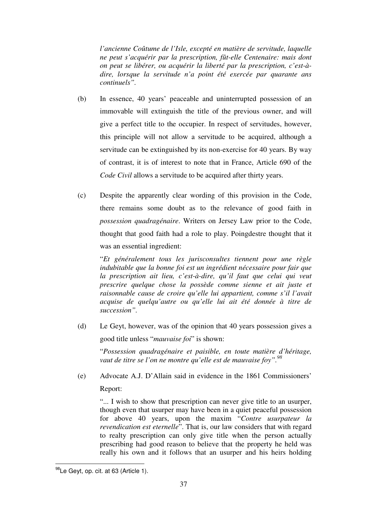*l'ancienne Coûtume de l'Isle, excepté en matière de servitude, laquelle ne peut s'acquérir par la prescription, fût-elle Centenaire: mais dont on peut se libérer, ou acquérir la liberté par la prescription, c'est-àdire, lorsque la servitude n'a point été exercée par quarante ans continuels".* 

- (b) In essence, 40 years' peaceable and uninterrupted possession of an immovable will extinguish the title of the previous owner, and will give a perfect title to the occupier. In respect of servitudes, however, this principle will not allow a servitude to be acquired, although a servitude can be extinguished by its non-exercise for 40 years. By way of contrast, it is of interest to note that in France, Article 690 of the *Code Civil* allows a servitude to be acquired after thirty years.
- (c) Despite the apparently clear wording of this provision in the Code, there remains some doubt as to the relevance of good faith in *possession quadragénaire*. Writers on Jersey Law prior to the Code, thought that good faith had a role to play. Poingdestre thought that it was an essential ingredient:

"*Et généralement tous les jurisconsultes tiennent pour une règle indubitable que la bonne foi est un ingrédient nécessaire pour fair que la prescription ait lieu, c'est-à-dire, qu'il faut que celui qui veut prescrire quelque chose la possède comme sienne et ait juste et raisonnable cause de croire qu'elle lui appartient, comme s'il l'avait acquise de quelqu'autre ou qu'elle lui ait été donnée à titre de succession".*

(d) Le Geyt, however, was of the opinion that 40 years possession gives a good title unless "*mauvaise foi*" is shown:

"*Possession quadragénaire et paisible, en toute matière d'héritage, vaut de titre se l'on ne montre qu'elle est de mauvaise foy".98*

(e) Advocate A.J. D'Allain said in evidence in the 1861 Commissioners' Report:

"... I wish to show that prescription can never give title to an usurper, though even that usurper may have been in a quiet peaceful possession for above 40 years, upon the maxim "*Contre usurpateur la revendication est eternelle*". That is, our law considers that with regard to realty prescription can only give title when the person actually prescribing had good reason to believe that the property he held was really his own and it follows that an usurper and his heirs holding

 $\overline{\phantom{a}}$ <sup>98</sup>Le Geyt, op. cit. at 63 (Article 1).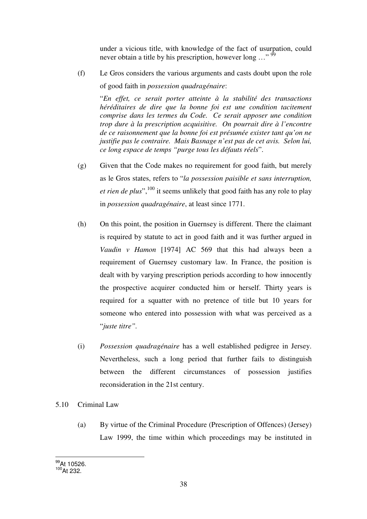under a vicious title, with knowledge of the fact of usurpation, could never obtain a title by his prescription, however long ..."<sup>99</sup>

(f) Le Gros considers the various arguments and casts doubt upon the role of good faith in *possession quadragénaire*:

"*En effet, ce serait porter atteinte à la stabilité des transactions héréditaires de dire que la bonne foi est une condition tacitement comprise dans les termes du Code. Ce serait apposer une condition trop dure à la prescription acquisitive. On pourrait dire à l'encontre de ce raisonnement que la bonne foi est présumée exister tant qu'on ne justifie pas le contraire. Mais Basnage n'est pas de cet avis. Selon lui, ce long espace de temps "purge tous les défauts réels*".

- (g) Given that the Code makes no requirement for good faith, but merely as le Gros states, refers to "*la possession paisible et sans interruption, et rien de plus*",<sup>100</sup> it seems unlikely that good faith has any role to play in *possession quadragénaire*, at least since 1771.
- (h) On this point, the position in Guernsey is different. There the claimant is required by statute to act in good faith and it was further argued in *Vaudin v Hamon* [1974] AC 569 that this had always been a requirement of Guernsey customary law. In France, the position is dealt with by varying prescription periods according to how innocently the prospective acquirer conducted him or herself. Thirty years is required for a squatter with no pretence of title but 10 years for someone who entered into possession with what was perceived as a "*juste titre".*
- (i) *Possession quadragénaire* has a well established pedigree in Jersey. Nevertheless, such a long period that further fails to distinguish between the different circumstances of possession justifies reconsideration in the 21st century.
- 5.10 Criminal Law
	- (a) By virtue of the Criminal Procedure (Prescription of Offences) (Jersey) Law 1999, the time within which proceedings may be instituted in

 $\overline{\phantom{a}}$ <sup>99</sup>At 10526.  $100$ At 232.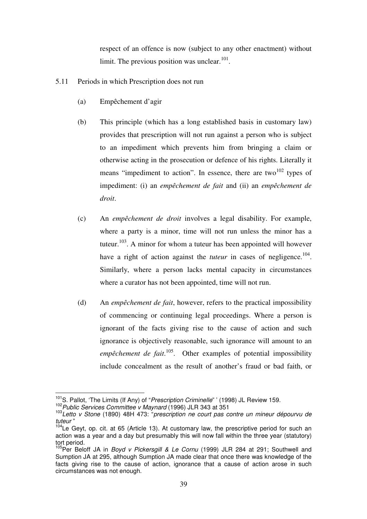respect of an offence is now (subject to any other enactment) without limit. The previous position was unclear. $101$ .

- 5.11 Periods in which Prescription does not run
	- (a) Empêchement d'agir
	- (b) This principle (which has a long established basis in customary law) provides that prescription will not run against a person who is subject to an impediment which prevents him from bringing a claim or otherwise acting in the prosecution or defence of his rights. Literally it means "impediment to action". In essence, there are two<sup>102</sup> types of impediment: (i) an *empêchement de fait* and (ii) an *empêchement de droit*.
	- (c) An *empêchement de droit* involves a legal disability. For example, where a party is a minor, time will not run unless the minor has a tuteur.<sup>103</sup>. A minor for whom a tuteur has been appointed will however have a right of action against the *tuteur* in cases of negligence.<sup>104</sup>. Similarly, where a person lacks mental capacity in circumstances where a curator has not been appointed, time will not run.
	- (d) An *empêchement de fait*, however, refers to the practical impossibility of commencing or continuing legal proceedings. Where a person is ignorant of the facts giving rise to the cause of action and such ignorance is objectively reasonable, such ignorance will amount to an *empêchement de fait*. 105. Other examples of potential impossibility include concealment as the result of another's fraud or bad faith, or

<sup>&</sup>lt;sup>101</sup>S. Pallot. 'The Limits (If Any) of "Prescription Criminelle" ' (1998) JL Review 159.

<sup>&</sup>lt;sup>102</sup> Public Services Committee v Maynard (1996) JLR 343 at 351<br><sup>103</sup> Letto v Stone (1890) 48H 473: "prescription ne court pas contre un mineur dépourvu de tuteur "

 $104$ Le Geyt, op. cit. at 65 (Article 13). At customary law, the prescriptive period for such an action was a year and a day but presumably this will now fall within the three year (statutory) tort period.

<sup>&</sup>lt;sup>105</sup>Per Beloff JA in *Boyd v Pickersgill & Le Cornu* (1999) JLR 284 at 291; Southwell and Sumption JA at 295, although Sumption JA made clear that once there was knowledge of the facts giving rise to the cause of action, ignorance that a cause of action arose in such circumstances was not enough.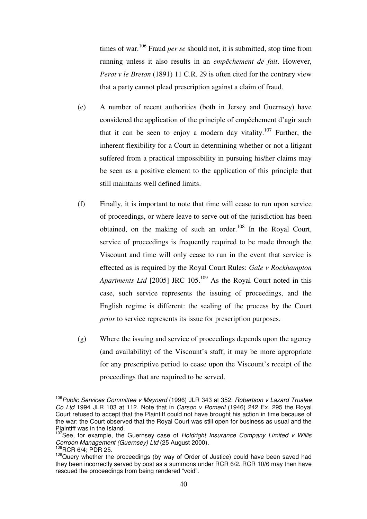times of war.<sup>106</sup> Fraud *per se* should not, it is submitted, stop time from running unless it also results in an *empêchement de fait*. However, *Perot v le Breton* (1891) 11 C.R. 29 is often cited for the contrary view that a party cannot plead prescription against a claim of fraud.

- (e) A number of recent authorities (both in Jersey and Guernsey) have considered the application of the principle of empêchement d'agir such that it can be seen to enjoy a modern day vitality.<sup>107</sup> Further, the inherent flexibility for a Court in determining whether or not a litigant suffered from a practical impossibility in pursuing his/her claims may be seen as a positive element to the application of this principle that still maintains well defined limits.
- (f) Finally, it is important to note that time will cease to run upon service of proceedings, or where leave to serve out of the jurisdiction has been obtained, on the making of such an order.<sup>108</sup> In the Royal Court, service of proceedings is frequently required to be made through the Viscount and time will only cease to run in the event that service is effected as is required by the Royal Court Rules: *Gale v Rockhampton Apartments Ltd* [2005] JRC 105.<sup>109</sup> As the Royal Court noted in this case, such service represents the issuing of proceedings, and the English regime is different: the sealing of the process by the Court *prior* to service represents its issue for prescription purposes.
- (g) Where the issuing and service of proceedings depends upon the agency (and availability) of the Viscount's staff, it may be more appropriate for any prescriptive period to cease upon the Viscount's receipt of the proceedings that are required to be served.

 <sup>106</sup> Public Services Committee v Maynard (1996) JLR 343 at 352; Robertson v Lazard Trustee Co Ltd 1994 JLR 103 at 112. Note that in Carson v Romeril (1946) 242 Ex. 295 the Royal Court refused to accept that the Plaintiff could not have brought his action in time because of the war: the Court observed that the Royal Court was still open for business as usual and the Plaintiff was in the Island.

<sup>107</sup>See, for example, the Guernsey case of Holdright Insurance Company Limited v Willis Corroon Management (Guernsey) Ltd (25 August 2000).<br><sup>108</sup>RCR 6/4: PDR 25.

<sup>109</sup>Query whether the proceedings (by way of Order of Justice) could have been saved had they been incorrectly served by post as a summons under RCR 6/2. RCR 10/6 may then have rescued the proceedings from being rendered "void".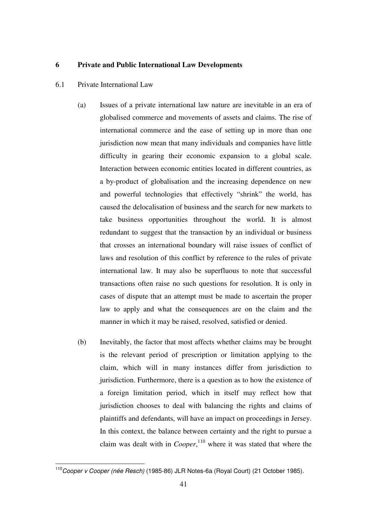### **6 Private and Public International Law Developments**

- 6.1 Private International Law
	- (a) Issues of a private international law nature are inevitable in an era of globalised commerce and movements of assets and claims. The rise of international commerce and the ease of setting up in more than one jurisdiction now mean that many individuals and companies have little difficulty in gearing their economic expansion to a global scale. Interaction between economic entities located in different countries, as a by-product of globalisation and the increasing dependence on new and powerful technologies that effectively "shrink" the world, has caused the delocalisation of business and the search for new markets to take business opportunities throughout the world. It is almost redundant to suggest that the transaction by an individual or business that crosses an international boundary will raise issues of conflict of laws and resolution of this conflict by reference to the rules of private international law. It may also be superfluous to note that successful transactions often raise no such questions for resolution. It is only in cases of dispute that an attempt must be made to ascertain the proper law to apply and what the consequences are on the claim and the manner in which it may be raised, resolved, satisfied or denied.
	- (b) Inevitably, the factor that most affects whether claims may be brought is the relevant period of prescription or limitation applying to the claim, which will in many instances differ from jurisdiction to jurisdiction. Furthermore, there is a question as to how the existence of a foreign limitation period, which in itself may reflect how that jurisdiction chooses to deal with balancing the rights and claims of plaintiffs and defendants, will have an impact on proceedings in Jersey. In this context, the balance between certainty and the right to pursue a claim was dealt with in *Cooper*, 110 where it was stated that where the

 $\overline{\phantom{a}}$ <sup>110</sup>Cooper v Cooper (née Resch) (1985-86) JLR Notes-6a (Royal Court) (21 October 1985).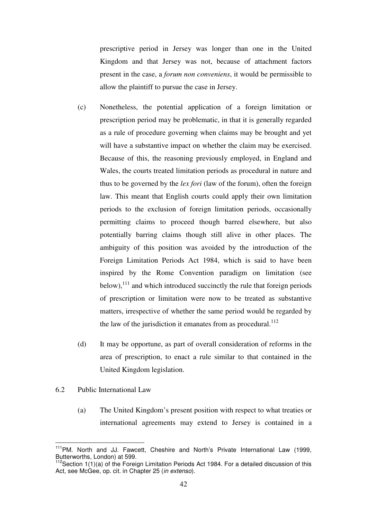prescriptive period in Jersey was longer than one in the United Kingdom and that Jersey was not, because of attachment factors present in the case, a *forum non conveniens*, it would be permissible to allow the plaintiff to pursue the case in Jersey.

- (c) Nonetheless, the potential application of a foreign limitation or prescription period may be problematic, in that it is generally regarded as a rule of procedure governing when claims may be brought and yet will have a substantive impact on whether the claim may be exercised. Because of this, the reasoning previously employed, in England and Wales, the courts treated limitation periods as procedural in nature and thus to be governed by the *lex fori* (law of the forum), often the foreign law. This meant that English courts could apply their own limitation periods to the exclusion of foreign limitation periods, occasionally permitting claims to proceed though barred elsewhere, but also potentially barring claims though still alive in other places. The ambiguity of this position was avoided by the introduction of the Foreign Limitation Periods Act 1984, which is said to have been inspired by the Rome Convention paradigm on limitation (see  $below)$ ,<sup>111</sup> and which introduced succinctly the rule that foreign periods of prescription or limitation were now to be treated as substantive matters, irrespective of whether the same period would be regarded by the law of the jurisdiction it emanates from as procedural. $^{112}$
- (d) It may be opportune, as part of overall consideration of reforms in the area of prescription, to enact a rule similar to that contained in the United Kingdom legislation.
- 6.2 Public International Law
	- (a) The United Kingdom's present position with respect to what treaties or international agreements may extend to Jersey is contained in a

 $\overline{1}$ <sup>111</sup>PM. North and JJ. Fawcett, Cheshire and North's Private International Law (1999, Butterworths, London) at 599.

 $112$ Section 1(1)(a) of the Foreign Limitation Periods Act 1984. For a detailed discussion of this Act, see McGee, op. cit. in Chapter 25 (in extenso).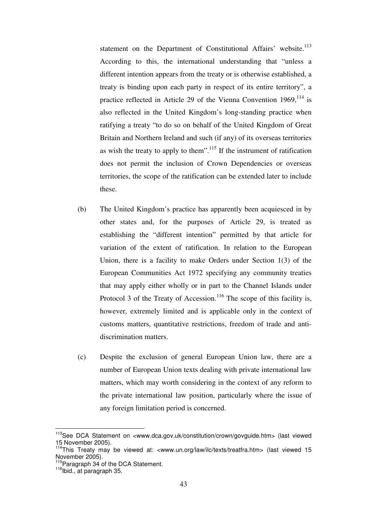statement on the Department of Constitutional Affairs' website.<sup>113</sup> According to this, the international understanding that "unless a different intention appears from the treaty or is otherwise established, a treaty is binding upon each party in respect of its entire territory", a practice reflected in Article 29 of the Vienna Convention  $1969$ ,  $^{114}$  is also reflected in the United Kingdom's long-standing practice when ratifying a treaty "to do so on behalf of the United Kingdom of Great Britain and Northern Ireland and such (if any) of its overseas territories as wish the treaty to apply to them".<sup>115</sup> If the instrument of ratification does not permit the inclusion of Crown Dependencies or overseas territories, the scope of the ratification can be extended later to include these.

- (b) The United Kingdom's practice has apparently been acquiesced in by other states and, for the purposes of Article 29, is treated as establishing the "different intention" permitted by that article for variation of the extent of ratification. In relation to the European Union, there is a facility to make Orders under Section 1(3) of the European Communities Act 1972 specifying any community treaties that may apply either wholly or in part to the Channel Islands under Protocol 3 of the Treaty of Accession.<sup>116</sup> The scope of this facility is, however, extremely limited and is applicable only in the context of customs matters, quantitative restrictions, freedom of trade and antidiscrimination matters.
- (c) Despite the exclusion of general European Union law, there are a number of European Union texts dealing with private international law matters, which may worth considering in the context of any reform to the private international law position, particularly where the issue of any foreign limitation period is concerned.

<sup>&</sup>lt;sup>113</sup>See DCA Statement on <www.dca.gov.uk/constitution/crown/govguide.htm> (last viewed 15 November 2005).

<sup>&</sup>lt;sup>114</sup>This Treaty may be viewed at: <www.un.org/law/ilc/texts/treatfra.htm> (last viewed 15 November 2005).

 $115$ Paragraph 34 of the DCA Statement.<br> $116$ Ibid., at paragraph 35.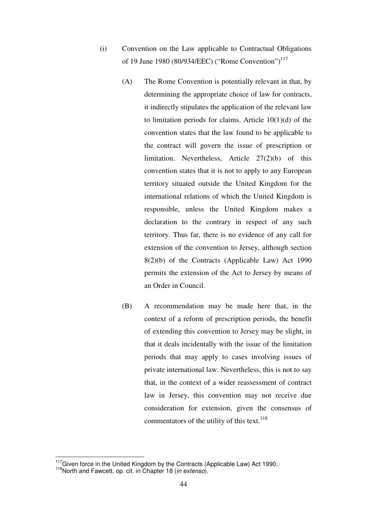- (i) Convention on the Law applicable to Contractual Obligations of 19 June 1980 (80/934/EEC) ("Rome Convention")<sup>117</sup>
	- (A) The Rome Convention is potentially relevant in that, by determining the appropriate choice of law for contracts, it indirectly stipulates the application of the relevant law to limitation periods for claims. Article  $10(1)(d)$  of the convention states that the law found to be applicable to the contract will govern the issue of prescription or limitation. Nevertheless, Article 27(2)(b) of this convention states that it is not to apply to any European territory situated outside the United Kingdom for the international relations of which the United Kingdom is responsible, unless the United Kingdom makes a declaration to the contrary in respect of any such territory. Thus far, there is no evidence of any call for extension of the convention to Jersey, although section 8(2)(b) of the Contracts (Applicable Law) Act 1990 permits the extension of the Act to Jersey by means of an Order in Council.
	- (B) A recommendation may be made here that, in the context of a reform of prescription periods, the benefit of extending this convention to Jersey may be slight, in that it deals incidentally with the issue of the limitation periods that may apply to cases involving issues of private international law. Nevertheless, this is not to say that, in the context of a wider reassessment of contract law in Jersey, this convention may not receive due consideration for extension, given the consensus of commentators of the utility of this text. $118$

 $\overline{1}$ 

<sup>&</sup>lt;sup>117</sup>Given force in the United Kingdom by the Contracts (Applicable Law) Act 1990.<br><sup>118</sup>North and Fawcett, op. cit. in Chapter 18 (*in extenso*).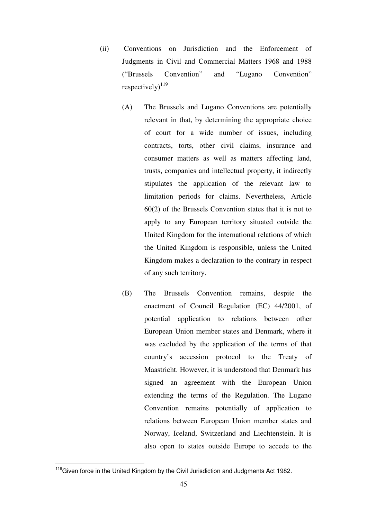- (ii) Conventions on Jurisdiction and the Enforcement of Judgments in Civil and Commercial Matters 1968 and 1988 ("Brussels Convention" and "Lugano Convention" respectively) $^{119}$ 
	- (A) The Brussels and Lugano Conventions are potentially relevant in that, by determining the appropriate choice of court for a wide number of issues, including contracts, torts, other civil claims, insurance and consumer matters as well as matters affecting land, trusts, companies and intellectual property, it indirectly stipulates the application of the relevant law to limitation periods for claims. Nevertheless, Article 60(2) of the Brussels Convention states that it is not to apply to any European territory situated outside the United Kingdom for the international relations of which the United Kingdom is responsible, unless the United Kingdom makes a declaration to the contrary in respect of any such territory.
	- (B) The Brussels Convention remains, despite the enactment of Council Regulation (EC) 44/2001, of potential application to relations between other European Union member states and Denmark, where it was excluded by the application of the terms of that country's accession protocol to the Treaty of Maastricht. However, it is understood that Denmark has signed an agreement with the European Union extending the terms of the Regulation. The Lugano Convention remains potentially of application to relations between European Union member states and Norway, Iceland, Switzerland and Liechtenstein. It is also open to states outside Europe to accede to the

<sup>&</sup>lt;sup>119</sup>Given force in the United Kingdom by the Civil Jurisdiction and Judgments Act 1982.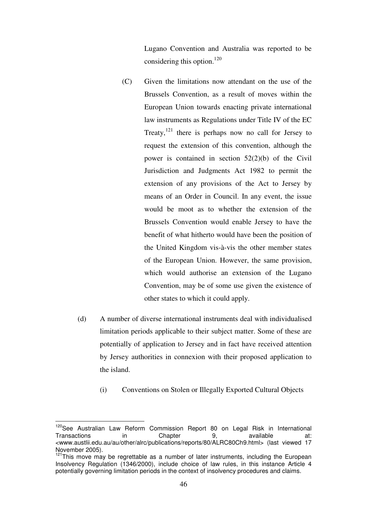Lugano Convention and Australia was reported to be considering this option.<sup>120</sup>

- (C) Given the limitations now attendant on the use of the Brussels Convention, as a result of moves within the European Union towards enacting private international law instruments as Regulations under Title IV of the EC Treaty, $^{121}$  there is perhaps now no call for Jersey to request the extension of this convention, although the power is contained in section 52(2)(b) of the Civil Jurisdiction and Judgments Act 1982 to permit the extension of any provisions of the Act to Jersey by means of an Order in Council. In any event, the issue would be moot as to whether the extension of the Brussels Convention would enable Jersey to have the benefit of what hitherto would have been the position of the United Kingdom vis-à-vis the other member states of the European Union. However, the same provision, which would authorise an extension of the Lugano Convention, may be of some use given the existence of other states to which it could apply.
- (d) A number of diverse international instruments deal with individualised limitation periods applicable to their subject matter. Some of these are potentially of application to Jersey and in fact have received attention by Jersey authorities in connexion with their proposed application to the island.
	- (i) Conventions on Stolen or Illegally Exported Cultural Objects

<sup>&</sup>lt;sup>120</sup>See Australian Law Reform Commission Report 80 on Legal Risk in International Transactions in Chapter 9, available at: <www.austlii.edu.au/au/other/alrc/publications/reports/80/ALRC80Ch9.html> (last viewed 17 November 2005).

 $121$ This move may be regrettable as a number of later instruments, including the European Insolvency Regulation (1346/2000), include choice of law rules, in this instance Article 4 potentially governing limitation periods in the context of insolvency procedures and claims.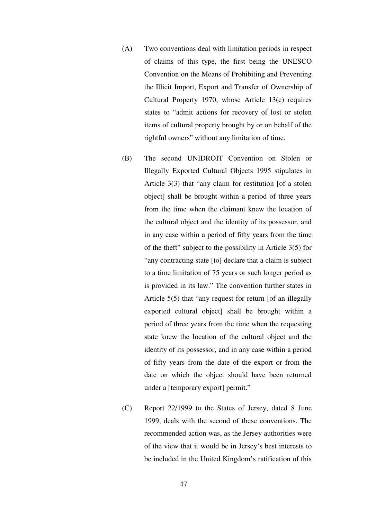- (A) Two conventions deal with limitation periods in respect of claims of this type, the first being the UNESCO Convention on the Means of Prohibiting and Preventing the Illicit Import, Export and Transfer of Ownership of Cultural Property 1970, whose Article 13(c) requires states to "admit actions for recovery of lost or stolen items of cultural property brought by or on behalf of the rightful owners" without any limitation of time.
- (B) The second UNIDROIT Convention on Stolen or Illegally Exported Cultural Objects 1995 stipulates in Article 3(3) that "any claim for restitution [of a stolen object] shall be brought within a period of three years from the time when the claimant knew the location of the cultural object and the identity of its possessor, and in any case within a period of fifty years from the time of the theft" subject to the possibility in Article 3(5) for "any contracting state [to] declare that a claim is subject to a time limitation of 75 years or such longer period as is provided in its law." The convention further states in Article 5(5) that "any request for return [of an illegally exported cultural object] shall be brought within a period of three years from the time when the requesting state knew the location of the cultural object and the identity of its possessor, and in any case within a period of fifty years from the date of the export or from the date on which the object should have been returned under a *[temporary export]* permit."
- (C) Report 22/1999 to the States of Jersey, dated 8 June 1999, deals with the second of these conventions. The recommended action was, as the Jersey authorities were of the view that it would be in Jersey's best interests to be included in the United Kingdom's ratification of this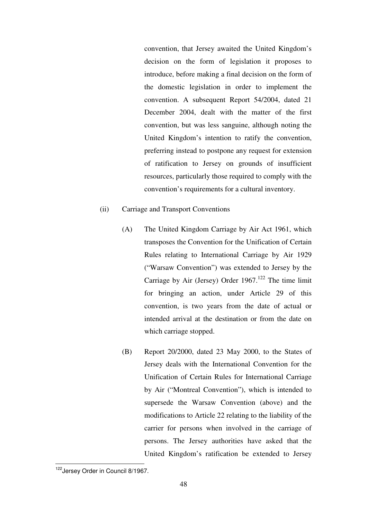convention, that Jersey awaited the United Kingdom's decision on the form of legislation it proposes to introduce, before making a final decision on the form of the domestic legislation in order to implement the convention. A subsequent Report 54/2004, dated 21 December 2004, dealt with the matter of the first convention, but was less sanguine, although noting the United Kingdom's intention to ratify the convention, preferring instead to postpone any request for extension of ratification to Jersey on grounds of insufficient resources, particularly those required to comply with the convention's requirements for a cultural inventory.

### (ii) Carriage and Transport Conventions

- (A) The United Kingdom Carriage by Air Act 1961, which transposes the Convention for the Unification of Certain Rules relating to International Carriage by Air 1929 ("Warsaw Convention") was extended to Jersey by the Carriage by Air (Jersey) Order  $1967$ .<sup>122</sup> The time limit for bringing an action, under Article 29 of this convention, is two years from the date of actual or intended arrival at the destination or from the date on which carriage stopped.
- (B) Report 20/2000, dated 23 May 2000, to the States of Jersey deals with the International Convention for the Unification of Certain Rules for International Carriage by Air ("Montreal Convention"), which is intended to supersede the Warsaw Convention (above) and the modifications to Article 22 relating to the liability of the carrier for persons when involved in the carriage of persons. The Jersey authorities have asked that the United Kingdom's ratification be extended to Jersey

 $\overline{\phantom{a}}$ <sup>122</sup>Jersey Order in Council 8/1967.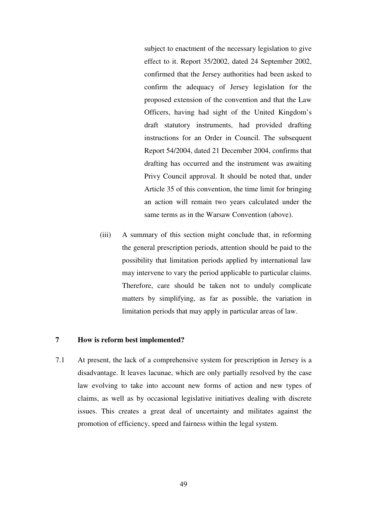subject to enactment of the necessary legislation to give effect to it. Report 35/2002, dated 24 September 2002, confirmed that the Jersey authorities had been asked to confirm the adequacy of Jersey legislation for the proposed extension of the convention and that the Law Officers, having had sight of the United Kingdom's draft statutory instruments, had provided drafting instructions for an Order in Council. The subsequent Report 54/2004, dated 21 December 2004, confirms that drafting has occurred and the instrument was awaiting Privy Council approval. It should be noted that, under Article 35 of this convention, the time limit for bringing an action will remain two years calculated under the same terms as in the Warsaw Convention (above).

(iii) A summary of this section might conclude that, in reforming the general prescription periods, attention should be paid to the possibility that limitation periods applied by international law may intervene to vary the period applicable to particular claims. Therefore, care should be taken not to unduly complicate matters by simplifying, as far as possible, the variation in limitation periods that may apply in particular areas of law.

#### **7 How is reform best implemented?**

7.1 At present, the lack of a comprehensive system for prescription in Jersey is a disadvantage. It leaves lacunae, which are only partially resolved by the case law evolving to take into account new forms of action and new types of claims, as well as by occasional legislative initiatives dealing with discrete issues. This creates a great deal of uncertainty and militates against the promotion of efficiency, speed and fairness within the legal system.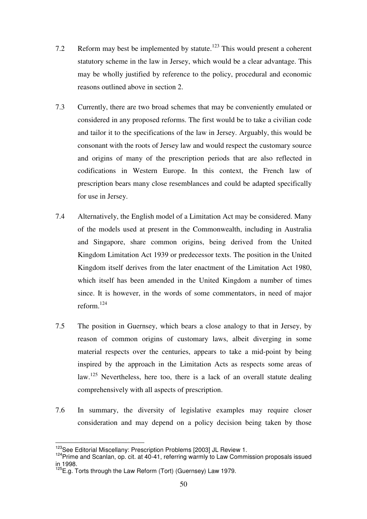- 7.2 Reform may best be implemented by statute.<sup>123</sup> This would present a coherent statutory scheme in the law in Jersey, which would be a clear advantage. This may be wholly justified by reference to the policy, procedural and economic reasons outlined above in section 2.
- 7.3 Currently, there are two broad schemes that may be conveniently emulated or considered in any proposed reforms. The first would be to take a civilian code and tailor it to the specifications of the law in Jersey. Arguably, this would be consonant with the roots of Jersey law and would respect the customary source and origins of many of the prescription periods that are also reflected in codifications in Western Europe. In this context, the French law of prescription bears many close resemblances and could be adapted specifically for use in Jersey.
- 7.4 Alternatively, the English model of a Limitation Act may be considered. Many of the models used at present in the Commonwealth, including in Australia and Singapore, share common origins, being derived from the United Kingdom Limitation Act 1939 or predecessor texts. The position in the United Kingdom itself derives from the later enactment of the Limitation Act 1980, which itself has been amended in the United Kingdom a number of times since. It is however, in the words of some commentators, in need of major reform.<sup>124</sup>
- 7.5 The position in Guernsey, which bears a close analogy to that in Jersey, by reason of common origins of customary laws, albeit diverging in some material respects over the centuries, appears to take a mid-point by being inspired by the approach in the Limitation Acts as respects some areas of law.125 Nevertheless, here too, there is a lack of an overall statute dealing comprehensively with all aspects of prescription.
- 7.6 In summary, the diversity of legislative examples may require closer consideration and may depend on a policy decision being taken by those

<sup>&</sup>lt;sup>123</sup>See Editorial Miscellany: Prescription Problems [2003] JL Review 1.

<sup>124</sup> Prime and Scanlan, op. cit. at 40-41, referring warmly to Law Commission proposals issued in 1998.

<sup>&</sup>lt;sup>125</sup>E.g. Torts through the Law Reform (Tort) (Guernsey) Law 1979.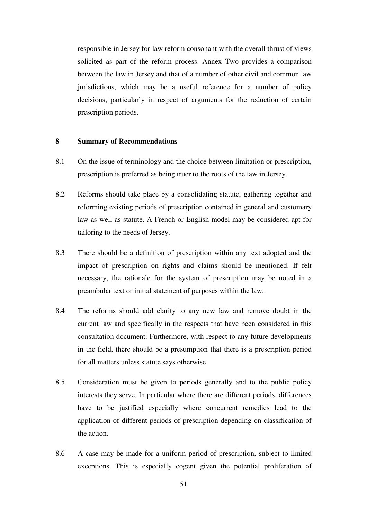responsible in Jersey for law reform consonant with the overall thrust of views solicited as part of the reform process. Annex Two provides a comparison between the law in Jersey and that of a number of other civil and common law jurisdictions, which may be a useful reference for a number of policy decisions, particularly in respect of arguments for the reduction of certain prescription periods.

### **8 Summary of Recommendations**

- 8.1 On the issue of terminology and the choice between limitation or prescription, prescription is preferred as being truer to the roots of the law in Jersey.
- 8.2 Reforms should take place by a consolidating statute, gathering together and reforming existing periods of prescription contained in general and customary law as well as statute. A French or English model may be considered apt for tailoring to the needs of Jersey.
- 8.3 There should be a definition of prescription within any text adopted and the impact of prescription on rights and claims should be mentioned. If felt necessary, the rationale for the system of prescription may be noted in a preambular text or initial statement of purposes within the law.
- 8.4 The reforms should add clarity to any new law and remove doubt in the current law and specifically in the respects that have been considered in this consultation document. Furthermore, with respect to any future developments in the field, there should be a presumption that there is a prescription period for all matters unless statute says otherwise.
- 8.5 Consideration must be given to periods generally and to the public policy interests they serve. In particular where there are different periods, differences have to be justified especially where concurrent remedies lead to the application of different periods of prescription depending on classification of the action.
- 8.6 A case may be made for a uniform period of prescription, subject to limited exceptions. This is especially cogent given the potential proliferation of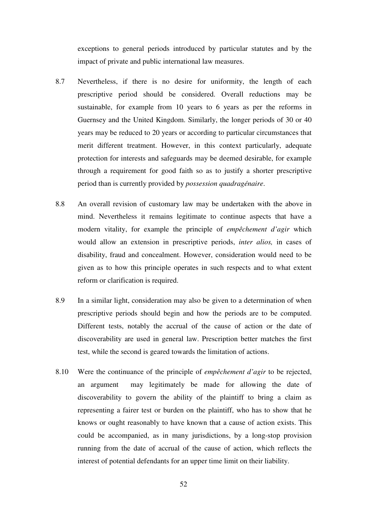exceptions to general periods introduced by particular statutes and by the impact of private and public international law measures.

- 8.7 Nevertheless, if there is no desire for uniformity, the length of each prescriptive period should be considered. Overall reductions may be sustainable, for example from 10 years to 6 years as per the reforms in Guernsey and the United Kingdom. Similarly, the longer periods of 30 or 40 years may be reduced to 20 years or according to particular circumstances that merit different treatment. However, in this context particularly, adequate protection for interests and safeguards may be deemed desirable, for example through a requirement for good faith so as to justify a shorter prescriptive period than is currently provided by *possession quadragénaire*.
- 8.8 An overall revision of customary law may be undertaken with the above in mind. Nevertheless it remains legitimate to continue aspects that have a modern vitality, for example the principle of *empêchement d'agir* which would allow an extension in prescriptive periods, *inter alios,* in cases of disability, fraud and concealment. However, consideration would need to be given as to how this principle operates in such respects and to what extent reform or clarification is required.
- 8.9 In a similar light, consideration may also be given to a determination of when prescriptive periods should begin and how the periods are to be computed. Different tests, notably the accrual of the cause of action or the date of discoverability are used in general law. Prescription better matches the first test, while the second is geared towards the limitation of actions.
- 8.10 Were the continuance of the principle of *empêchement d'agir* to be rejected, an argument may legitimately be made for allowing the date of discoverability to govern the ability of the plaintiff to bring a claim as representing a fairer test or burden on the plaintiff, who has to show that he knows or ought reasonably to have known that a cause of action exists. This could be accompanied, as in many jurisdictions, by a long-stop provision running from the date of accrual of the cause of action, which reflects the interest of potential defendants for an upper time limit on their liability.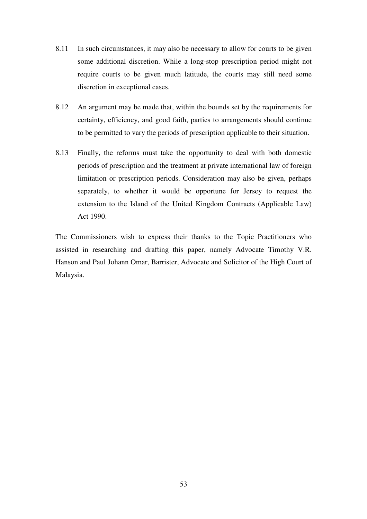- 8.11 In such circumstances, it may also be necessary to allow for courts to be given some additional discretion. While a long-stop prescription period might not require courts to be given much latitude, the courts may still need some discretion in exceptional cases.
- 8.12 An argument may be made that, within the bounds set by the requirements for certainty, efficiency, and good faith, parties to arrangements should continue to be permitted to vary the periods of prescription applicable to their situation.
- 8.13 Finally, the reforms must take the opportunity to deal with both domestic periods of prescription and the treatment at private international law of foreign limitation or prescription periods. Consideration may also be given, perhaps separately, to whether it would be opportune for Jersey to request the extension to the Island of the United Kingdom Contracts (Applicable Law) Act 1990.

The Commissioners wish to express their thanks to the Topic Practitioners who assisted in researching and drafting this paper, namely Advocate Timothy V.R. Hanson and Paul Johann Omar, Barrister, Advocate and Solicitor of the High Court of Malaysia.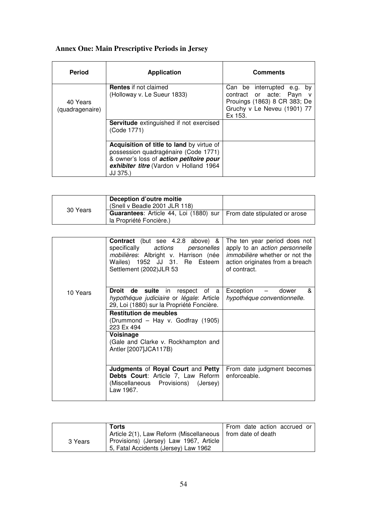## **Annex One: Main Prescriptive Periods in Jersey**

| <b>Period</b>               | <b>Application</b>                                                                                                                                                                 | <b>Comments</b>                                                                                                                |
|-----------------------------|------------------------------------------------------------------------------------------------------------------------------------------------------------------------------------|--------------------------------------------------------------------------------------------------------------------------------|
| 40 Years<br>(quadragenaire) | <b>Rentes</b> if not claimed<br>(Holloway v. Le Sueur 1833)                                                                                                                        | Can be interrupted e.g. by<br>contract or acte: Payn<br>Prouings (1863) 8 CR 383; De<br>Gruchy v Le Neveu (1901) 77<br>Ex 153. |
|                             | <b>Servitude</b> extinguished if not exercised<br>(Code 1771)                                                                                                                      |                                                                                                                                |
|                             | Acquisition of title to land by virtue of<br>possession quadragénaire (Code 1771)<br>& owner's loss of action petitoire pour<br>exhibiter titre (Vardon v Holland 1964<br>JJ 375.) |                                                                                                                                |

| 30 Years | Deception d'outre moitie<br>(Snell v Beadle 2001 JLR 118)                     |  |
|----------|-------------------------------------------------------------------------------|--|
|          | <b>Guarantees:</b> Article 44, Loi (1880) sur   From date stipulated or arose |  |
|          | la Propriété Foncière.)                                                       |  |

|          | <b>Contract</b> (but see 4.2.8 above) &<br>specifically actions personelles<br>mobilières: Albright v. Harrison (née<br>Wailes) 1952 JJ 31. Re Esteem<br>Settlement (2002) JLR 53 | The ten year period does not<br>apply to an <i>action personnelle</i><br><i>immobilière</i> whether or not the<br>action originates from a breach<br>of contract. |
|----------|-----------------------------------------------------------------------------------------------------------------------------------------------------------------------------------|-------------------------------------------------------------------------------------------------------------------------------------------------------------------|
| 10 Years | <b>Droit de suite</b> in respect of a<br>hypothéque judiciaire or légale: Article<br>29, Loi (1880) sur la Propriété Foncière.                                                    | &<br>Exception<br>dower<br>hypothéque conventionnelle.                                                                                                            |
|          | <b>Restitution de meubles</b><br>(Drummond – Hay v. Godfray (1905)<br>223 Ex 494                                                                                                  |                                                                                                                                                                   |
|          | Voisinage<br>(Gale and Clarke v. Rockhampton and<br>Antler [2007]JCA117B)                                                                                                         |                                                                                                                                                                   |
|          | Judgments of Royal Court and Petty<br>Debts Court: Article 7, Law Reform<br>(Miscellaneous Provisions) (Jersey)<br>Law 1967.                                                      | From date judgment becomes<br>enforceable.                                                                                                                        |

|         | Torts                                                        | From date action accrued or |
|---------|--------------------------------------------------------------|-----------------------------|
|         | Article 2(1), Law Reform (Miscellaneous   from date of death |                             |
| 3 Years | Provisions) (Jersey) Law 1967, Article                       |                             |
|         | 5, Fatal Accidents (Jersey) Law 1962                         |                             |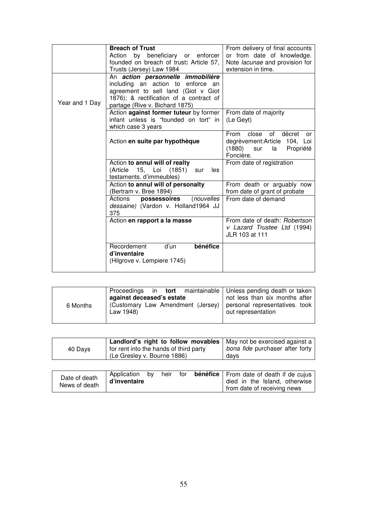|                | <b>Breach of Trust</b><br>Action by beneficiary or enforcer<br>founded on breach of trust: Article 57,<br>Trusts (Jersey) Law 1984                                                         | From delivery of final accounts<br>or from date of knowledge.<br>Note lacunae and provision for<br>extension in time. |  |  |  |
|----------------|--------------------------------------------------------------------------------------------------------------------------------------------------------------------------------------------|-----------------------------------------------------------------------------------------------------------------------|--|--|--|
| Year and 1 Day | An action personnelle immobilière<br>including an action to enforce an<br>agreement to sell land (Giot v Giot<br>1876); & rectification of a contract of<br>partage (Rive v. Bichard 1875) |                                                                                                                       |  |  |  |
|                | Action against former tuteur by former<br>infant unless is "founded on tort" in<br>which case 3 years                                                                                      | From date of majority<br>(Le Geyt)                                                                                    |  |  |  |
|                | Action en suite par hypothèque                                                                                                                                                             | of<br>close<br>décret<br>From<br>or<br>degrèvement:Article 104, Loi<br>(1880)<br>la Propriété<br>sur<br>Foncière.     |  |  |  |
|                | Action to annul will of realty<br>(Article 15, Loi (1851)<br>les<br>sur<br>testaments. d'immeubles)                                                                                        | From date of registration                                                                                             |  |  |  |
|                | Action to annul will of personalty<br>(Bertram v. Bree 1894)                                                                                                                               | From death or arguably now<br>from date of grant of probate                                                           |  |  |  |
|                | Actions <b>possessoires</b><br>(nouvelles<br>dessaine) (Vardon v. Holland1964 JJ<br>375                                                                                                    | From date of demand                                                                                                   |  |  |  |
|                | Action en rapport a la masse                                                                                                                                                               | From date of death: Robertson<br>v Lazard Trustee Ltd (1994)<br>JLR 103 at 111                                        |  |  |  |
|                | bénéfice<br>Recordement<br>d'un<br>d'inventaire<br>(Hilgrove v. Lempiere 1745)                                                                                                             |                                                                                                                       |  |  |  |

| against deceased's estate<br>6 Months<br>Law 1948) | Proceedings in tort maintainable   Unless pending death or taken<br>not less than six months after<br>(Customary Law Amendment (Jersey) personal representatives. took<br>out representation |
|----------------------------------------------------|----------------------------------------------------------------------------------------------------------------------------------------------------------------------------------------------|
|----------------------------------------------------|----------------------------------------------------------------------------------------------------------------------------------------------------------------------------------------------|

|         | Landlord's right to follow movables   May not be exercised against a |                                 |
|---------|----------------------------------------------------------------------|---------------------------------|
| 40 Days | for rent into the hands of third party                               | bona fide purchaser after forty |
|         | (Le Gresley v. Bourne 1886)                                          | days                            |

| Application<br>bv<br>Date of death<br>d'inventaire<br>News of death | heir | for | <b>bénéfice</b>   From date of death if de cujus<br>died in the Island, otherwise<br>from date of receiving news |
|---------------------------------------------------------------------|------|-----|------------------------------------------------------------------------------------------------------------------|
|---------------------------------------------------------------------|------|-----|------------------------------------------------------------------------------------------------------------------|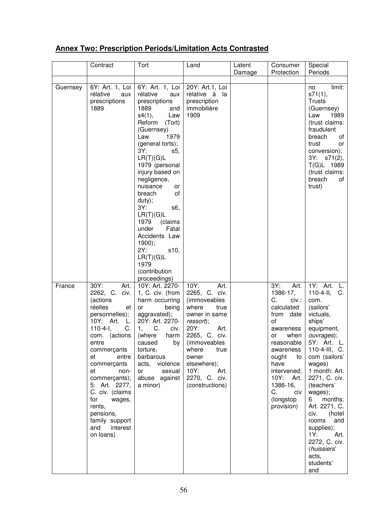### **Annex Two: Prescription Periods/Limitation Acts Contrasted**

|          | Contract                                                                                                                                                                                                                                                                                                                             | Tort                                                                                                                                                                                                                                                                                                                                                                                                                                             | Land                                                                                                                                                                                                                                               | Latent<br>Damage | Consumer<br>Protection                                                                                                                                                                                                                             | Special<br>Periods                                                                                                                                                                                                                                                                                                                                                          |
|----------|--------------------------------------------------------------------------------------------------------------------------------------------------------------------------------------------------------------------------------------------------------------------------------------------------------------------------------------|--------------------------------------------------------------------------------------------------------------------------------------------------------------------------------------------------------------------------------------------------------------------------------------------------------------------------------------------------------------------------------------------------------------------------------------------------|----------------------------------------------------------------------------------------------------------------------------------------------------------------------------------------------------------------------------------------------------|------------------|----------------------------------------------------------------------------------------------------------------------------------------------------------------------------------------------------------------------------------------------------|-----------------------------------------------------------------------------------------------------------------------------------------------------------------------------------------------------------------------------------------------------------------------------------------------------------------------------------------------------------------------------|
| Guernsey | 6Y: Art. 1, Loi<br>rélative<br>aux<br>prescriptions<br>1889                                                                                                                                                                                                                                                                          | 6Y: Art. 1, Loi<br>rélative<br>aux<br>prescriptions<br>1889<br>and<br>s4(1),<br>Law<br>Reform (Tort)<br>(Guernsey)<br>Law<br>1979<br>(general torts);<br>3Y:<br>s5.<br>LR(T)(G)L<br>1979 (personal<br>injury based on<br>negligence,<br>nuisance<br>or<br>breach<br>οf<br>duty);<br>3Y:<br>s6,<br>LR(T)(G)L<br>1979<br>(claims<br>under<br>Fatal<br>Accidents Law<br>1900);<br>2Y:<br>s10,<br>LR(T)(G)L<br>1979<br>(contribution<br>proceedings) | 20Y: Art.1, Loi<br>rélative à la<br>prescription<br>immobilière<br>1909                                                                                                                                                                            |                  |                                                                                                                                                                                                                                                    | limit:<br>no<br>s71(1),<br><b>Trusts</b><br>(Guernsey)<br>1989<br>Law<br>(trust claims:<br>fraudulent<br>breach<br>of<br>trust<br>or<br>conversion);<br>3Y: s71(2),<br>T(G)L 1989<br>(trust claims:<br>breach<br>of<br>trust)                                                                                                                                               |
| France   | 30Y:<br>Art.<br>2262, C. civ.<br>(actions<br>réelles<br>et<br>personnelles);<br>10Y: Art.<br>L.<br>$110-4-1$ ,<br>C.<br>entre<br>commerçants<br>et<br>entre<br>commerçants<br>et<br>non-<br>commerçants);<br>5: Art. 2277,<br>C. civ. (claims<br>for<br>wages,<br>rents,<br>pensions,<br>family support<br>and interest<br>on loans) | 10Y: Art. 2270-<br>1, C. civ. (from<br>harm occurring<br>being<br>or<br>aggravated);<br>20Y: Art. 2270-<br>C.<br>1,<br>civ.<br>com. (actions   (where harm  <br>caused<br>by<br>torture,<br>barbarous<br>acts, violence<br>or<br>sexual<br>abuse against<br>a minor)                                                                                                                                                                             | 10Y:<br>Art.<br>2265, C. civ.<br>(immoveables<br>where<br>true<br>owner in same<br>ressort);<br>20Y:<br>Art.<br>2265, C. civ.<br><i>(immoveables)</i><br>where<br>true<br>owner<br>elsewhere);<br>10Y:<br>Art.<br>2270, C. civ.<br>(constructions) |                  | Art.<br>3Y:<br>1386-17,<br>C.<br>civ.:<br>calculated<br>from date<br>οf<br>awareness<br>or when   ouvrages);<br>reasonable<br>awareness<br>ought<br>to<br>have<br>intervened;<br>10Y:<br>Art.<br>1386-16,<br>civ<br>C.<br>(longstop)<br>provision) | 1Y: Art. L.<br>$110 - 4 - 11,$<br>C.<br>com.<br>(sailors'<br>victuals,<br>ships'<br>equipment,<br>5Y: Art. L.<br>110-4-III, C.<br>com (sailors'<br>wages)<br>1 month: Art.<br>2271, C. civ.<br>(teachers'<br>wages);<br>6 months:<br>Art. 2271, C.<br>civ.<br>(hotel<br>rooms and<br>supplies);<br>1Y:<br>Art.<br>2272, C. civ.<br>(huissiers'<br>acts,<br>students'<br>and |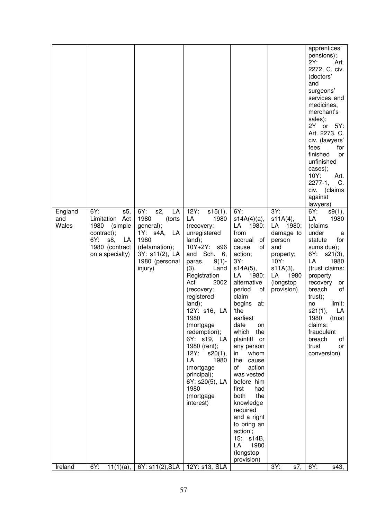|                         |                                                                                                                        |                                                                                                                                        |                                                                                                                                                                                                                                                                                                                                                                                                                           |                                                                                                                                                                                                                                                                                                                                                                                                                                                                                                         |                                                                                                                                     | apprentices'<br>pensions);<br>2Y:<br>Art.<br>2272, C. civ.<br>(doctors'<br>and<br>surgeons'<br>services and<br>medicines,<br>merchant's<br>sales);<br>2Y or 5Y:<br>Art. 2273, C.<br>civ. (lawyers'<br>fees<br>for                                                                                                         |
|-------------------------|------------------------------------------------------------------------------------------------------------------------|----------------------------------------------------------------------------------------------------------------------------------------|---------------------------------------------------------------------------------------------------------------------------------------------------------------------------------------------------------------------------------------------------------------------------------------------------------------------------------------------------------------------------------------------------------------------------|---------------------------------------------------------------------------------------------------------------------------------------------------------------------------------------------------------------------------------------------------------------------------------------------------------------------------------------------------------------------------------------------------------------------------------------------------------------------------------------------------------|-------------------------------------------------------------------------------------------------------------------------------------|---------------------------------------------------------------------------------------------------------------------------------------------------------------------------------------------------------------------------------------------------------------------------------------------------------------------------|
|                         |                                                                                                                        |                                                                                                                                        |                                                                                                                                                                                                                                                                                                                                                                                                                           |                                                                                                                                                                                                                                                                                                                                                                                                                                                                                                         |                                                                                                                                     | finished<br>or<br>unfinished<br>cases);<br>10Y:<br>Art.<br>$2277-1,$<br>C.<br>civ. (claims<br>against<br>lawyers)                                                                                                                                                                                                         |
| England<br>and<br>Wales | 6Y:<br>s5,<br>Limitation Act<br>(simple<br>1980<br>contract);<br>6Y:<br>s8,<br>LA<br>1980 (contract<br>on a specialty) | 6Y:<br>s2,<br>LA<br>1980<br>(torts<br>general);<br>1Y: s4A, LA<br>1980<br>(defamation);<br>3Y: s11(2), LA<br>1980 (personal<br>injury) | 12Y:<br>s15(1),<br>LA<br>1980<br>(recovery:<br>unregistered<br>land);<br>$10Y+2Y$ :<br>s96<br>and Sch. 6,<br>$9(1)$ -<br>paras.<br>(3),<br>Land<br>Registration<br>2002<br>Act<br>(recovery:<br>registered<br>land);<br>12Y: s16, LA<br>1980<br>(mortgage<br>redemption);<br>6Y: s19, LA<br>1980 (rent);<br>12Y:<br>s20(1),<br>LA<br>1980<br>(mortgage<br>principal);<br>6Y: s20(5), LA<br>1980<br>(mortgage<br>interest) | 6Y:<br>$s14A(4)(a)$ ,<br>LA<br>1980:<br>from<br>accrual<br>0f<br>οf<br>cause<br>action;<br>3Y:<br>$s14A(5)$ ,<br>LA<br>1980:<br>alternative<br>period<br>οt<br>claim<br>begins<br>at:<br>'the<br>earliest<br>date<br>on<br>which<br>the<br>plaintiff or<br>any person<br>whom<br>in<br>the<br>cause<br>of<br>action<br>was vested<br>before him<br>first<br>had<br>the<br>both<br>knowledge<br>required<br>and a right<br>to bring an<br>action';<br>15: s14B,<br>LA<br>1980<br>(longstop<br>provision) | 3Y:<br>s11A(4),<br>LA 1980:<br>damage to<br>person<br>and<br>property;<br>10Y:<br>s11A(3),<br>LA<br>1980<br>(longstop<br>provision) | 6Y:<br>s9(1),<br>LA<br>1980<br>(claims<br>under<br>a<br>statute<br>for<br>sums due);<br>6Y:<br>s21(3),<br>LA<br>1980<br>(trust claims:<br>property<br>recovery<br>or<br>breach<br>of<br>trust);<br>limit:<br>no<br>s21(1),<br>LA<br>1980<br>(trust<br>claims:<br>fraudulent<br>breach<br>of<br>trust<br>or<br>conversion) |
| Ireland                 | 6Y:<br>$11(1)(a)$ ,                                                                                                    | 6Y: s11(2), SLA                                                                                                                        | 12Y: s13, SLA                                                                                                                                                                                                                                                                                                                                                                                                             |                                                                                                                                                                                                                                                                                                                                                                                                                                                                                                         | 3Y:<br>s7,                                                                                                                          | 6Y:<br>s43,                                                                                                                                                                                                                                                                                                               |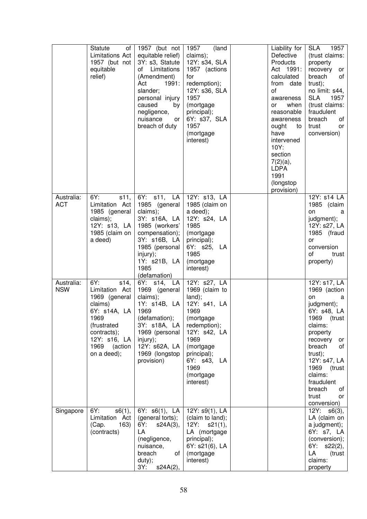|                          | <b>Statute</b><br>of l<br>Limitations Act<br>1957 (but not<br>equitable<br>relief)                                                                              | 1957 (but not<br>equitable relief)<br>3Y: s3, Statute<br>of Limitations<br>(Amendment)<br>Act<br>1991:<br>slander;<br>personal injury<br>caused<br>by<br>negligence,<br>nuisance<br>or<br>breach of duty | 1957<br>(land<br>claims);<br>12Y: s34, SLA<br>1957 (actions<br>for<br>redemption);<br>12Y: s36, SLA<br>1957<br>(mortgage<br>principal);<br>6Y: s37, SLA<br>1957<br>(mortgage<br>interest)          | Liability for<br>Defective<br>Products<br>Act 1991:<br>calculated<br>from date<br>οf<br>awareness<br>when<br>or<br>reasonable<br>awareness<br>ought<br>to<br>have<br>intervened<br>10Y:<br>section<br>$7(2)(a)$ ,<br><b>LDPA</b><br>1991<br>(longstop<br>provision) | SLA 1957<br>(trust claims:<br>property<br>recovery or<br>of<br>breach<br>trust);<br>no limit: s44,<br><b>SLA</b><br>1957<br>(trust claims:<br>fraudulent<br>breach<br>of<br>trust<br>or<br>conversion)                                                              |
|--------------------------|-----------------------------------------------------------------------------------------------------------------------------------------------------------------|----------------------------------------------------------------------------------------------------------------------------------------------------------------------------------------------------------|----------------------------------------------------------------------------------------------------------------------------------------------------------------------------------------------------|---------------------------------------------------------------------------------------------------------------------------------------------------------------------------------------------------------------------------------------------------------------------|---------------------------------------------------------------------------------------------------------------------------------------------------------------------------------------------------------------------------------------------------------------------|
| Australia:<br><b>ACT</b> | 6Y:<br>s11,<br>Limitation Act<br>1985 (general<br>claims);<br>12Y: s13, LA<br>1985 (claim on<br>a deed)                                                         | 6Y: s11, LA<br>1985 (general<br>claims);<br>3Y: s16A, LA<br>1985 (workers'<br>compensation);<br>3Y: s16B, LA<br>1985 (personal<br>injury);<br>1Y: s21B, LA<br>1985<br>(defamation)                       | 12Y: s13, LA<br>1985 (claim on<br>a deed);<br>12Y: s24, LA<br>1985<br>(mortgage<br>principal);<br>6Y: s25, LA<br>1985<br>(mortgage<br>interest)                                                    |                                                                                                                                                                                                                                                                     | 12Y: s14 LA<br>1985 (claim<br>on<br>a<br>judgment);<br>12Y: s27, LA<br>1985 (fraud<br>or<br>conversion<br>of<br>trust<br>property)                                                                                                                                  |
| Australia:<br><b>NSW</b> | 6Y:<br>\$14,<br>Limitation Act<br>1969 (general<br>claims)<br>6Y: s14A, LA<br>1969<br>(frustrated<br>contracts);<br>12Y: s16, LA<br>1969 (action<br>on a deed); | 6Y: s14, LA<br>1969 (general<br>claims);<br>1Y: s14B, LA<br>1969<br>(defamation);<br>3Y: s18A, LA<br>1969 (personal<br>injury);<br>12Y: s62A, LA<br>1969 (longstop<br>provision)                         | 12Y: s27, LA<br>1969 (claim to<br>land);<br>12Y: s41, LA<br>1969<br>(mortgage<br>redemption);<br>12Y: s42, LA<br>1969<br>(mortgage<br>principal);<br>6Y: s43, LA<br>1969<br>(mortgage<br>interest) |                                                                                                                                                                                                                                                                     | 12Y: s17, LA<br>1969 (action<br>on<br>a<br>judgment);<br>6Y: s48, LA<br>1969<br>(trust<br>claims:<br>property<br>recovery<br>or<br>breach<br>of<br>trust);<br>12Y: s47, LA<br>1969<br>(trust<br>claims:<br>fraudulent<br>breach<br>οf<br>trust<br>or<br>conversion) |
| Singapore                | 6Y:<br>s6(1),<br>Limitation Act<br>163)<br>(Cap.<br>(contracts)                                                                                                 | 6Y: s6(1), LA<br>(general torts);<br>6Y:<br>s24A(3),<br>LA<br>(negligence,<br>nuisance,<br>breach<br>of<br>duty);<br>3Y: s24A(2),                                                                        | 12Y: s9(1), LA<br>(claim to land);<br>12Y: S21(1),<br>LA (mortgage<br>principal);<br>6Y: s21(6), LA<br>(mortgage<br>interest)                                                                      |                                                                                                                                                                                                                                                                     | 12Y: S6(3),<br>LA (claim on<br>a judgment);<br>6Y: s7, LA<br>(conversion);<br>6Y: s22(2),<br>LA<br>(trust<br>claims:<br>property                                                                                                                                    |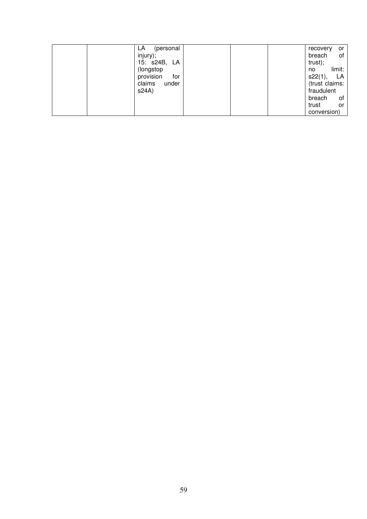|  | (personal<br>LA.<br>injury);<br>15: s24B, LA<br>(longstop<br>provision<br>for<br>claims<br>under<br>s24A) |  |  |  | recovery<br>breach<br>trust);<br>no<br>s22(1),<br>(trust claims:<br>fraudulent<br>breach<br>trust<br>conversion) | or<br>of<br>limit:<br>LA<br>of<br>or |
|--|-----------------------------------------------------------------------------------------------------------|--|--|--|------------------------------------------------------------------------------------------------------------------|--------------------------------------|
|--|-----------------------------------------------------------------------------------------------------------|--|--|--|------------------------------------------------------------------------------------------------------------------|--------------------------------------|